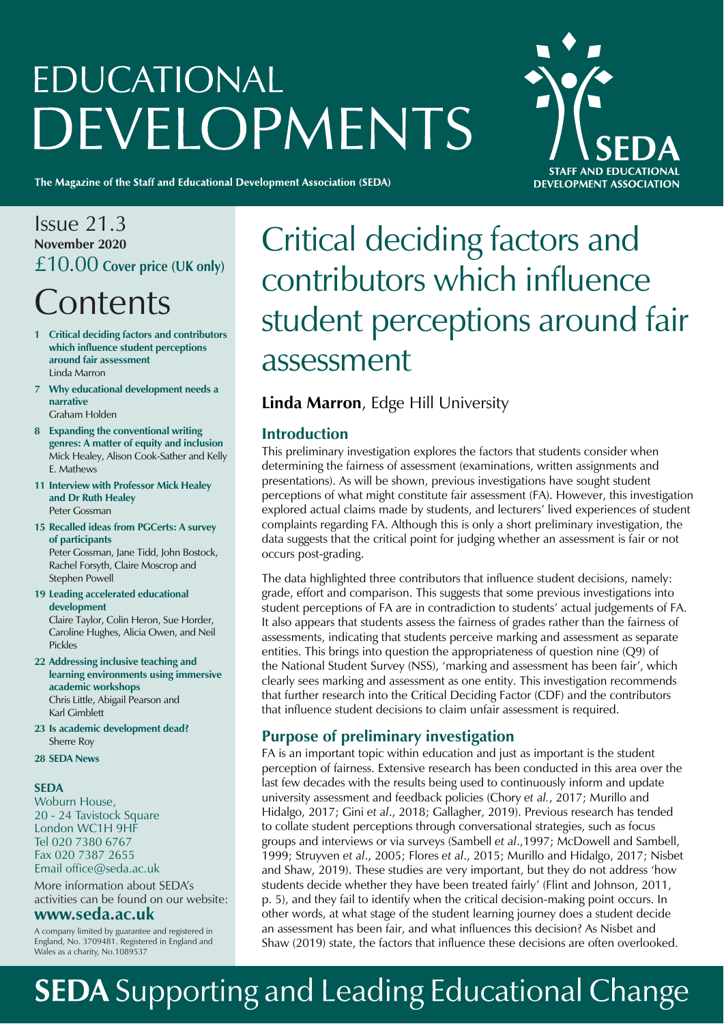# **EDUCATIONAL** DEVELOPMENTS

The Magazine of the Staff and Educational Development Association (SEDA)



### Issue 21.3 **November 2020**  £10.00 **Cover price (UK only)**

## **Contents**

- **1 Critical deciding factors and contributors which influence student perceptions around fair assessment** Linda Marron
- **7 Why educational development needs a narrative** Graham Holden
- **8 Expanding the conventional writing genres: A matter of equity and inclusion**  Mick Healey, Alison Cook-Sather and Kelly E. Mathews
- **11 Interview with Professor Mick Healey and Dr Ruth Healey** Peter Gossman
- **15 Recalled ideas from PGCerts: A survey of participants** Peter Gossman, Jane Tidd, John Bostock, Rachel Forsyth, Claire Moscrop and Stephen Powell
- **19 Leading accelerated educational development**  Claire Taylor, Colin Heron, Sue Horder, Caroline Hughes, Alicia Owen, and Neil Pickles
- **22 Addressing inclusive teaching and learning environments using immersive academic workshops**  Chris Little, Abigail Pearson and Karl Gimblett
- **23 Is academic development dead?** Sherre Roy
- **28 SEDA News**

#### **SEDA**

Woburn House, 20 - 24 Tavistock Square London WC1H 9HF Tel 020 7380 6767 Fax 020 7387 2655 Email office@seda.ac.uk

More information about SEDA's activities can be found on our website:

#### **www.seda.ac.uk**

A company limited by guarantee and registered in England, No. 3709481. Registered in England and Wales as a charity, No.1089537

# Critical deciding factors and contributors which influence student perceptions around fair assessment

#### **Linda Marron**, Edge Hill University

#### **Introduction**

This preliminary investigation explores the factors that students consider when determining the fairness of assessment (examinations, written assignments and presentations). As will be shown, previous investigations have sought student perceptions of what might constitute fair assessment (FA). However, this investigation explored actual claims made by students, and lecturers' lived experiences of student complaints regarding FA. Although this is only a short preliminary investigation, the data suggests that the critical point for judging whether an assessment is fair or not occurs post-grading.

The data highlighted three contributors that influence student decisions, namely: grade, effort and comparison. This suggests that some previous investigations into student perceptions of FA are in contradiction to students' actual judgements of FA. It also appears that students assess the fairness of grades rather than the fairness of assessments, indicating that students perceive marking and assessment as separate entities. This brings into question the appropriateness of question nine (Q9) of the National Student Survey (NSS), 'marking and assessment has been fair', which clearly sees marking and assessment as one entity. This investigation recommends that further research into the Critical Deciding Factor (CDF) and the contributors that influence student decisions to claim unfair assessment is required.

#### **Purpose of preliminary investigation**

FA is an important topic within education and just as important is the student perception of fairness. Extensive research has been conducted in this area over the last few decades with the results being used to continuously inform and update university assessment and feedback policies (Chory *et al.*, 2017; Murillo and Hidalgo, 2017; Gini *et al*., 2018; Gallagher, 2019). Previous research has tended to collate student perceptions through conversational strategies, such as focus groups and interviews or via surveys (Sambell *et al*.,1997; McDowell and Sambell, 1999; Struyven *et al*., 2005; Flores *et al*., 2015; Murillo and Hidalgo, 2017; Nisbet and Shaw, 2019). These studies are very important, but they do not address 'how students decide whether they have been treated fairly' (Flint and Johnson, 2011, p. 5), and they fail to identify when the critical decision-making point occurs. In other words, at what stage of the student learning journey does a student decide an assessment has been fair, and what influences this decision? As Nisbet and Shaw (2019) state, the factors that influence these decisions are often overlooked.

# **SEDA** Supporting and Leading Educational Change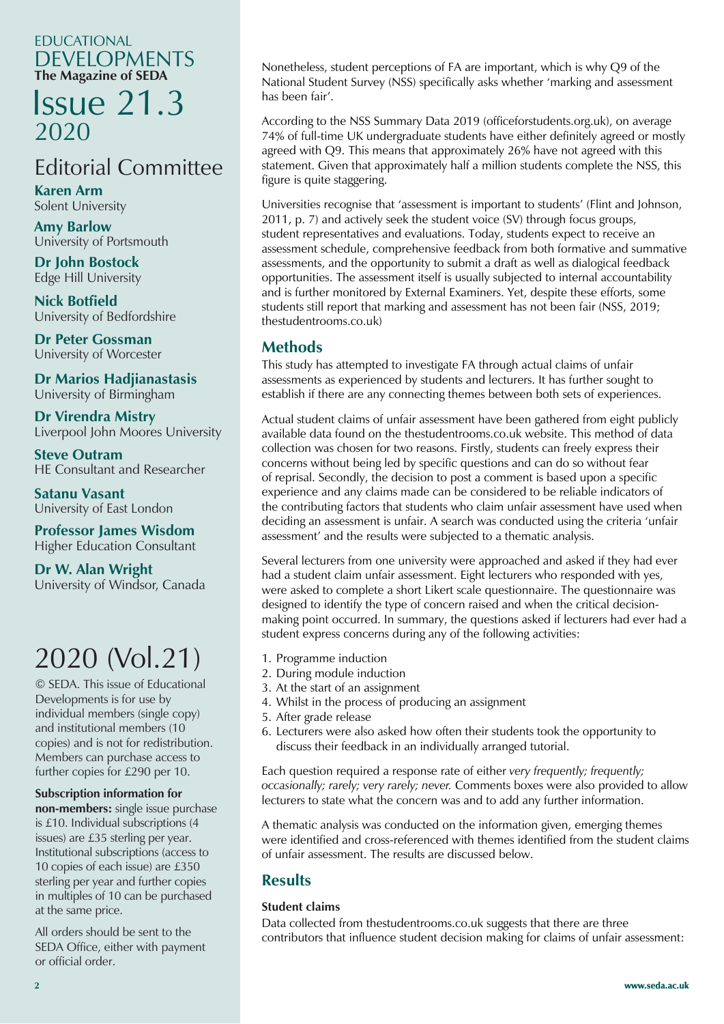#### EDUCATIONAL DEVELOPMENTS **The Magazine of SEDA**

### Issue 21.3 2020

### Editorial Committee

**Karen Arm** Solent University

**Amy Barlow** University of Portsmouth

**Dr John Bostock** Edge Hill University

**Nick Botfield** University of Bedfordshire

**Dr Peter Gossman** University of Worcester

University of Birmingham **Dr Marios Hadjianastasis**

**Dr Virendra Mistry** Liverpool John Moores University

**Steve Outram** HE Consultant and Researcher

**Satanu Vasant** University of East London

Higher Education Consultant **Professor James Wisdom**

**Dr W. Alan Wright** University of Windsor, Canada

### 2020 (Vol.21)

© SEDA. This issue of Educational Developments is for use by individual members (single copy) and institutional members (10 copies) and is not for redistribution. Members can purchase access to further copies for £290 per 10.

#### **Subscription information for**

**non-members:** single issue purchase is £10. Individual subscriptions (4 issues) are £35 sterling per year. Institutional subscriptions (access to 10 copies of each issue) are £350 sterling per year and further copies in multiples of 10 can be purchased at the same price.

All orders should be sent to the SEDA Office, either with payment or official order.

Nonetheless, student perceptions of FA are important, which is why Q9 of the National Student Survey (NSS) specifically asks whether 'marking and assessment has been fair'.

According to the NSS Summary Data 2019 (officeforstudents.org.uk), on average 74% of full-time UK undergraduate students have either definitely agreed or mostly agreed with Q9. This means that approximately 26% have not agreed with this statement. Given that approximately half a million students complete the NSS, this figure is quite staggering.

Universities recognise that 'assessment is important to students' (Flint and Johnson, 2011, p. 7) and actively seek the student voice (SV) through focus groups, student representatives and evaluations. Today, students expect to receive an assessment schedule, comprehensive feedback from both formative and summative assessments, and the opportunity to submit a draft as well as dialogical feedback opportunities. The assessment itself is usually subjected to internal accountability and is further monitored by External Examiners. Yet, despite these efforts, some students still report that marking and assessment has not been fair (NSS, 2019; thestudentrooms.co.uk)

#### **Methods**

This study has attempted to investigate FA through actual claims of unfair assessments as experienced by students and lecturers. It has further sought to establish if there are any connecting themes between both sets of experiences.

Actual student claims of unfair assessment have been gathered from eight publicly available data found on the thestudentrooms.co.uk website. This method of data collection was chosen for two reasons. Firstly, students can freely express their concerns without being led by specific questions and can do so without fear of reprisal. Secondly, the decision to post a comment is based upon a specific experience and any claims made can be considered to be reliable indicators of the contributing factors that students who claim unfair assessment have used when deciding an assessment is unfair. A search was conducted using the criteria 'unfair assessment' and the results were subjected to a thematic analysis.

Several lecturers from one university were approached and asked if they had ever had a student claim unfair assessment. Eight lecturers who responded with yes, were asked to complete a short Likert scale questionnaire. The questionnaire was designed to identify the type of concern raised and when the critical decisionmaking point occurred. In summary, the questions asked if lecturers had ever had a student express concerns during any of the following activities:

- 1. Programme induction
- 2. During module induction
- 3. At the start of an assignment
- 4. Whilst in the process of producing an assignment
- 5. After grade release
- 6. Lecturers were also asked how often their students took the opportunity to discuss their feedback in an individually arranged tutorial.

Each question required a response rate of either *very frequently; frequently; occasionally; rarely; very rarely; never.* Comments boxes were also provided to allow lecturers to state what the concern was and to add any further information.

A thematic analysis was conducted on the information given, emerging themes were identified and cross-referenced with themes identified from the student claims of unfair assessment. The results are discussed below.

#### **Results**

#### **Student claims**

Data collected from thestudentrooms.co.uk suggests that there are three contributors that influence student decision making for claims of unfair assessment: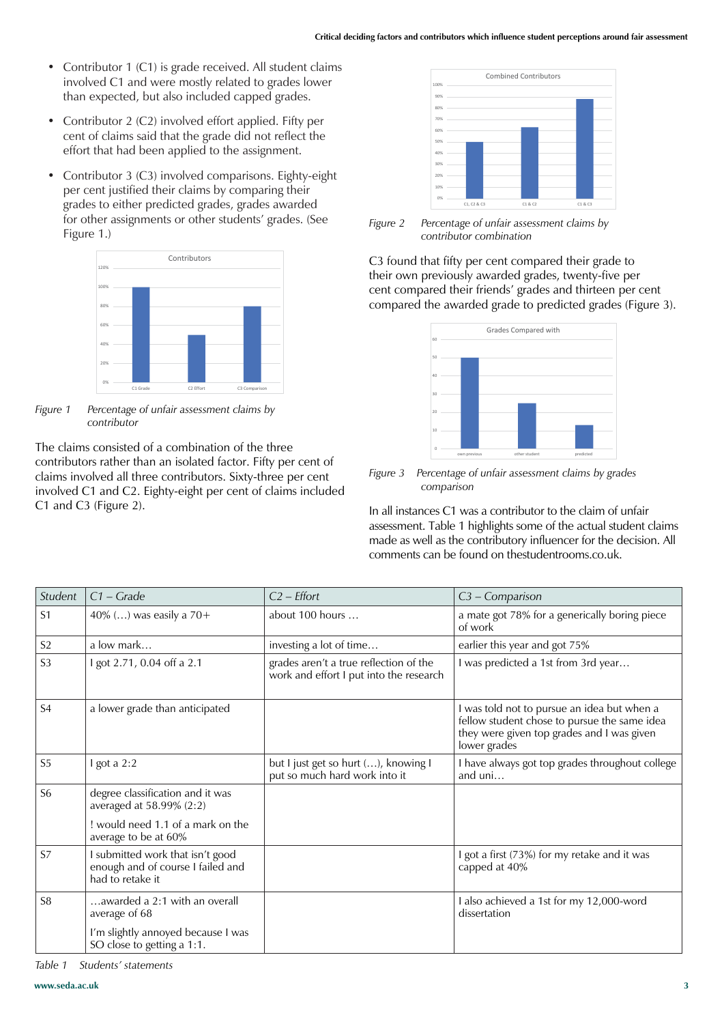- Contributor 1 (C1) is grade received. All student claims involved C1 and were mostly related to grades lower than expected, but also included capped grades.
- Contributor 2 (C2) involved effort applied. Fifty per cent of claims said that the grade did not reflect the effort that had been applied to the assignment.
- Contributor 3 (C3) involved comparisons. Eighty-eight per cent justified their claims by comparing their grades to either predicted grades, grades awarded for other assignments or other students' grades. (See Figure 1.)



*Figure 1 Percentage of unfair assessment claims by contributor*

The claims consisted of a combination of the three contributors rather than an isolated factor. Fifty per cent of claims involved all three contributors. Sixty-three per cent involved C1 and C2. Eighty-eight per cent of claims included C1 and C3 (Figure 2).



*Figure 2 Percentage of unfair assessment claims by contributor combination*

C3 found that fifty per cent compared their grade to their own previously awarded grades, twenty-five per cent compared their friends' grades and thirteen per cent compared the awarded grade to predicted grades (Figure 3).



*Figure 3 Percentage of unfair assessment claims by grades comparison*

In all instances C1 was a contributor to the claim of unfair assessment. Table 1 highlights some of the actual student claims made as well as the contributory influencer for the decision. All comments can be found on thestudentrooms.co.uk.

| Student        | $C1 - Grade$                                                                              | $C2$ – <i>Effort</i>                                                              | $C3$ – Comparison                                                                                                                                         |
|----------------|-------------------------------------------------------------------------------------------|-----------------------------------------------------------------------------------|-----------------------------------------------------------------------------------------------------------------------------------------------------------|
| S <sub>1</sub> | 40% () was easily a 70+                                                                   | about 100 hours                                                                   | a mate got 78% for a generically boring piece<br>of work                                                                                                  |
| S <sub>2</sub> | a low mark                                                                                | investing a lot of time                                                           | earlier this year and got 75%                                                                                                                             |
| S <sub>3</sub> | I got 2.71, 0.04 off a 2.1                                                                | grades aren't a true reflection of the<br>work and effort I put into the research | I was predicted a 1st from 3rd year                                                                                                                       |
| S <sub>4</sub> | a lower grade than anticipated                                                            |                                                                                   | I was told not to pursue an idea but when a<br>fellow student chose to pursue the same idea<br>they were given top grades and I was given<br>lower grades |
| S <sub>5</sub> | I got a $2:2$                                                                             | but I just get so hurt (), knowing I<br>put so much hard work into it             | I have always got top grades throughout college<br>and $uni$                                                                                              |
| S <sub>6</sub> | degree classification and it was<br>averaged at 58.99% (2:2)                              |                                                                                   |                                                                                                                                                           |
|                | would need 1.1 of a mark on the<br>average to be at 60%                                   |                                                                                   |                                                                                                                                                           |
| S7             | I submitted work that isn't good<br>enough and of course I failed and<br>had to retake it |                                                                                   | I got a first (73%) for my retake and it was<br>capped at 40%                                                                                             |
| S <sub>8</sub> | awarded a 2:1 with an overall<br>average of 68                                            |                                                                                   | I also achieved a 1st for my 12,000-word<br>dissertation                                                                                                  |
|                | I'm slightly annoyed because I was<br>SO close to getting a 1:1.                          |                                                                                   |                                                                                                                                                           |

*Table 1 Students' statements*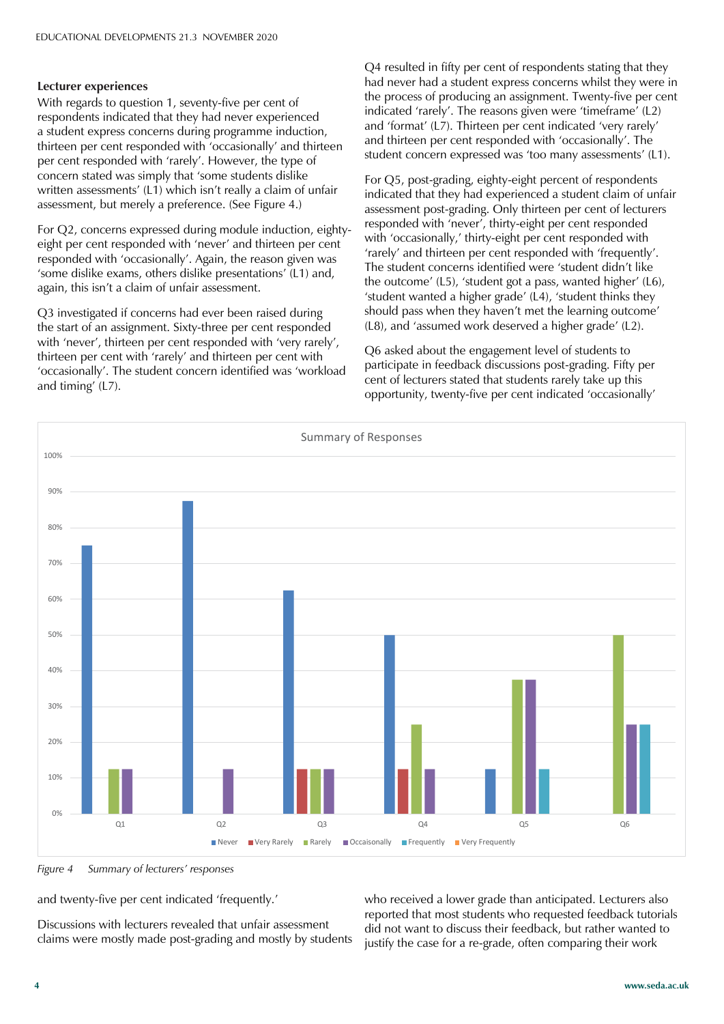#### **Lecturer experiences**

With regards to question 1, seventy-five per cent of respondents indicated that they had never experienced a student express concerns during programme induction, thirteen per cent responded with 'occasionally' and thirteen per cent responded with 'rarely'. However, the type of concern stated was simply that 'some students dislike written assessments' (L1) which isn't really a claim of unfair assessment, but merely a preference. (See Figure 4.)

For Q2, concerns expressed during module induction, eightyeight per cent responded with 'never' and thirteen per cent responded with 'occasionally'. Again, the reason given was 'some dislike exams, others dislike presentations' (L1) and, again, this isn't a claim of unfair assessment.

Q3 investigated if concerns had ever been raised during the start of an assignment. Sixty-three per cent responded with 'never', thirteen per cent responded with 'very rarely', thirteen per cent with 'rarely' and thirteen per cent with 'occasionally'. The student concern identified was 'workload and timing'  $(L7)$ .

Q4 resulted in fifty per cent of respondents stating that they had never had a student express concerns whilst they were in the process of producing an assignment. Twenty-five per cent indicated 'rarely'. The reasons given were 'timeframe' (L2) and 'format' (L7). Thirteen per cent indicated 'very rarely' and thirteen per cent responded with 'occasionally'. The student concern expressed was 'too many assessments' (L1).

For Q5, post-grading, eighty-eight percent of respondents indicated that they had experienced a student claim of unfair assessment post-grading. Only thirteen per cent of lecturers responded with 'never', thirty-eight per cent responded with 'occasionally,' thirty-eight per cent responded with 'rarely' and thirteen per cent responded with 'frequently'. The student concerns identified were 'student didn't like the outcome' (L5), 'student got a pass, wanted higher' (L6), 'student wanted a higher grade'  $(L4)$ , 'student thinks they should pass when they haven't met the learning outcome' (L8), and 'assumed work deserved a higher grade' (L2).

Q6 asked about the engagement level of students to participate in feedback discussions post-grading. Fifty per cent of lecturers stated that students rarely take up this opportunity, twenty-five per cent indicated 'occasionally'



*Figure 4 Summary of lecturers' responses*

and twenty-five per cent indicated 'frequently.'

Discussions with lecturers revealed that unfair assessment claims were mostly made post-grading and mostly by students who received a lower grade than anticipated. Lecturers also reported that most students who requested feedback tutorials did not want to discuss their feedback, but rather wanted to justify the case for a re-grade, often comparing their work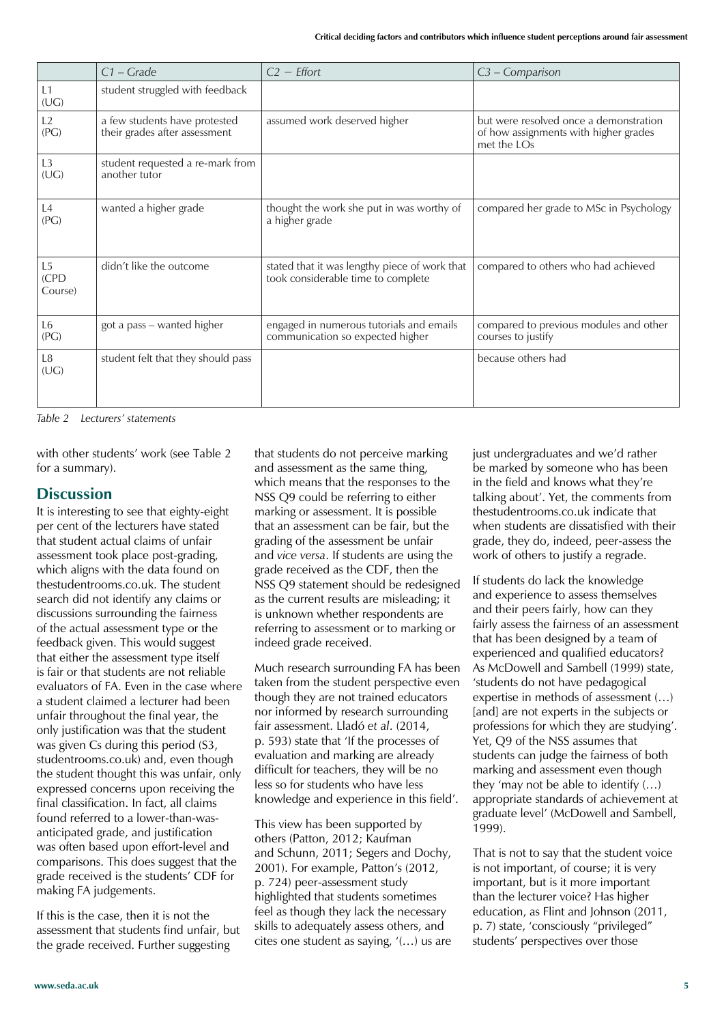|                                   | $C1 - Grade$                                                   | $C2$ – <i>Effort</i>                                                                | C3 - Comparison                                                                                |
|-----------------------------------|----------------------------------------------------------------|-------------------------------------------------------------------------------------|------------------------------------------------------------------------------------------------|
| L1<br>(UG)                        | student struggled with feedback                                |                                                                                     |                                                                                                |
| L2<br>(PG)                        | a few students have protested<br>their grades after assessment | assumed work deserved higher                                                        | but were resolved once a demonstration<br>of how assignments with higher grades<br>met the LOs |
| L <sub>3</sub><br>(UG)            | student requested a re-mark from<br>another tutor              |                                                                                     |                                                                                                |
| L4<br>(PG)                        | wanted a higher grade                                          | thought the work she put in was worthy of<br>a higher grade                         | compared her grade to MSc in Psychology                                                        |
| L <sub>5</sub><br>(CPD<br>Course) | didn't like the outcome                                        | stated that it was lengthy piece of work that<br>took considerable time to complete | compared to others who had achieved                                                            |
| L <sub>6</sub><br>(PG)            | got a pass - wanted higher                                     | engaged in numerous tutorials and emails<br>communication so expected higher        | compared to previous modules and other<br>courses to justify                                   |
| L <sub>8</sub><br>(UG)            | student felt that they should pass                             |                                                                                     | because others had                                                                             |

*Table 2 Lecturers' statements*

with other students' work (see Table 2 for a summary).

#### **Discussion**

It is interesting to see that eighty-eight per cent of the lecturers have stated that student actual claims of unfair assessment took place post-grading, which aligns with the data found on thestudentrooms.co.uk. The student search did not identify any claims or discussions surrounding the fairness of the actual assessment type or the feedback given. This would suggest that either the assessment type itself is fair or that students are not reliable evaluators of FA. Even in the case where a student claimed a lecturer had been unfair throughout the final year, the only justification was that the student was given Cs during this period (S3, studentrooms.co.uk) and, even though the student thought this was unfair, only expressed concerns upon receiving the final classification. In fact, all claims found referred to a lower-than-wasanticipated grade, and justification was often based upon effort-level and comparisons. This does suggest that the grade received is the students' CDF for making FA judgements.

If this is the case, then it is not the assessment that students find unfair, but the grade received. Further suggesting

that students do not perceive marking and assessment as the same thing, which means that the responses to the NSS Q9 could be referring to either marking or assessment. It is possible that an assessment can be fair, but the grading of the assessment be unfair and *vice versa*. If students are using the grade received as the CDF, then the NSS Q9 statement should be redesigned as the current results are misleading; it is unknown whether respondents are referring to assessment or to marking or indeed grade received.

Much research surrounding FA has been taken from the student perspective even though they are not trained educators nor informed by research surrounding fair assessment. Lladó et al. (2014, p. 593) state that 'If the processes of evaluation and marking are already difficult for teachers, they will be no less so for students who have less knowledge and experience in this field'.

This view has been supported by others (Patton, 2012; Kaufman and Schunn, 2011; Segers and Dochy, 2001). For example, Patton's (2012, p. 724) peer-assessment study highlighted that students sometimes feel as though they lack the necessary skills to adequately assess others, and cites one student as saying,  $'(...)$  us are just undergraduates and we'd rather be marked by someone who has been in the field and knows what they're talking about'. Yet, the comments from thestudentrooms.co.uk indicate that when students are dissatisfied with their grade, they do, indeed, peer-assess the work of others to justify a regrade.

If students do lack the knowledge and experience to assess themselves and their peers fairly, how can they fairly assess the fairness of an assessment that has been designed by a team of experienced and qualified educators? As McDowell and Sambell (1999) state, 'students do not have pedagogical expertise in methods of assessment (...) [and] are not experts in the subjects or professions for which they are studying'. Yet, Q9 of the NSS assumes that students can judge the fairness of both marking and assessment even though they 'may not be able to identify  $(...)$ appropriate standards of achievement at graduate level' (McDowell and Sambell, 1999).

That is not to say that the student voice is not important, of course; it is very important, but is it more important than the lecturer voice? Has higher education, as Flint and Johnson (2011, p. 7) state, 'consciously "privileged" students' perspectives over those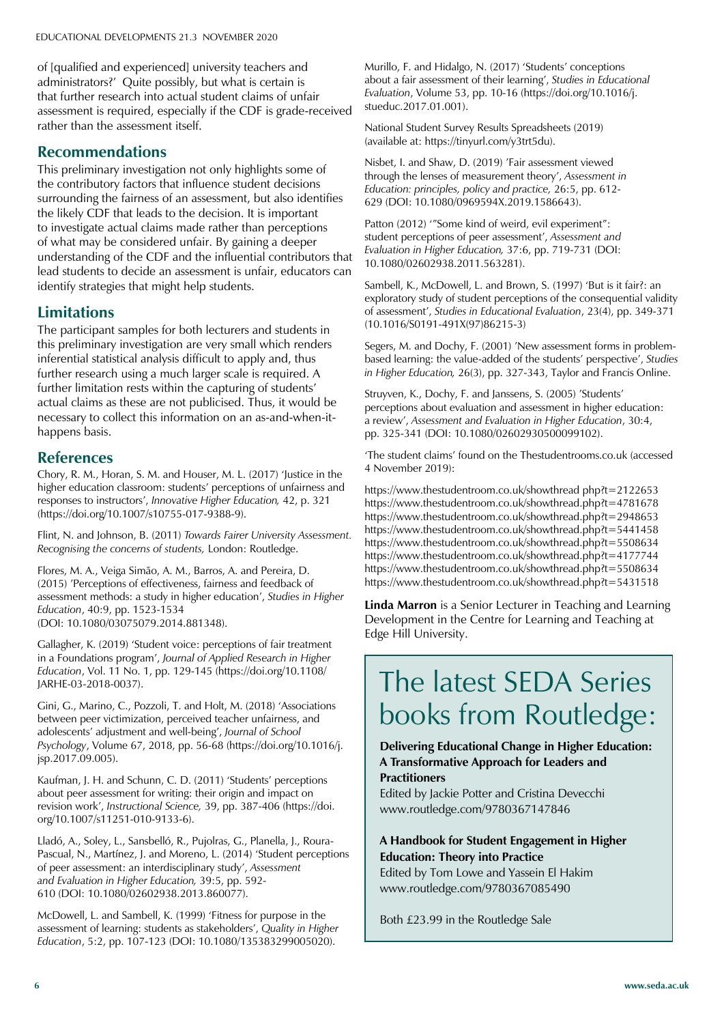of [qualified and experienced] university teachers and administrators?' Quite possibly, but what is certain is that further research into actual student claims of unfair assessment is required, especially if the CDF is grade-received rather than the assessment itself.

#### **Recommendations**

This preliminary investigation not only highlights some of the contributory factors that influence student decisions surrounding the fairness of an assessment, but also identifies the likely CDF that leads to the decision. It is important to investigate actual claims made rather than perceptions of what may be considered unfair. By gaining a deeper understanding of the CDF and the influential contributors that lead students to decide an assessment is unfair, educators can identify strategies that might help students.

#### **Limitations**

The participant samples for both lecturers and students in this preliminary investigation are very small which renders inferential statistical analysis difficult to apply and, thus further research using a much larger scale is required. A further limitation rests within the capturing of students' actual claims as these are not publicised. Thus, it would be necessary to collect this information on an as-and-when-ithappens basis.

#### **References**

Chory, R. M., Horan, S. M. and Houser, M. L. (2017) 'lustice in the higher education classroom: students' perceptions of unfairness and responses to instructors', Innovative Higher Education, 42, p. 321 (https://doi.org/10.1007/s10755-017-9388-9).

Flint, N. and Johnson, B. (2011) *Towards Fairer University Assessment. Recognising the concerns of students,* London: Routledge.

Flores, M. A., Veiga Simão, A. M., Barros, A. and Pereira, D. (2015) 'Perceptions of effectiveness, fairness and feedback of assessment methods: a study in higher education', Studies in Higher *Education*, 40:9, pp. 1523-1534 (DOI: 10.1080/03075079.2014.881348).

Gallagher, K. (2019) 'Student voice: perceptions of fair treatment in a Foundations program', Journal of Applied Research in Higher *Education*, Vol. 11 No. 1, pp. 129-145 (https://doi.org/10.1108/ JARHE-03-2018-0037).

Gini, G., Marino, C., Pozzoli, T. and Holt, M. (2018) 'Associations between peer victimization, perceived teacher unfairness, and adolescents' adjustment and well-being', Journal of School *Psychology*, Volume 67, 2018, pp. 56-68 (https://doi.org/10.1016/j. jsp.2017.09.005).

Kaufman, J. H. and Schunn, C. D. (2011) 'Students' perceptions about peer assessment for writing: their origin and impact on revision work', Instructional Science, 39, pp. 387-406 (https://doi. org/10.1007/s11251-010-9133-6).

Lladó, A., Soley, L., Sansbelló, R., Pujolras, G., Planella, J., Roura-Pascual, N., Martínez, J. and Moreno, L. (2014) 'Student perceptions of peer assessment: an interdisciplinary study', Assessment *and Evaluation in Higher Education,* 39:5, pp. 592- 610 (DOI: 10.1080/02602938.2013.860077).

McDowell, L. and Sambell, K. (1999) 'Fitness for purpose in the assessment of learning: students as stakeholders', Quality in Higher *Education*, 5:2, pp. 107-123 (DOI: 10.1080/135383299005020).

Murillo, F. and Hidalgo, N. (2017) 'Students' conceptions about a fair assessment of their learning', Studies in Educational *Evaluation*, Volume 53, pp. 10-16 (https://doi.org/10.1016/j. stueduc.2017.01.001).

National Student Survey Results Spreadsheets (2019) (available at: https://tinyurl.com/y3trt5du).

Nisbet, I. and Shaw, D. (2019) 'Fair assessment viewed through the lenses of measurement theory', Assessment in *Education: principles, policy and practice,* 26:5, pp. 612- 629 (DOI: 10.1080/0969594X.2019.1586643).

Patton (2012) "Some kind of weird, evil experiment": student perceptions of peer assessment', Assessment and *Evaluation in Higher Education,* 37:6, pp. 719-731 (DOI: 10.1080/02602938.2011.563281).

Sambell, K., McDowell, L. and Brown, S. (1997) 'But is it fair?: an exploratory study of student perceptions of the consequential validity of assessment', Studies in Educational Evaluation, 23(4), pp. 349-371 (10.1016/S0191-491X(97)86215-3)

Segers, M. and Dochy, F. (2001) 'New assessment forms in problembased learning: the value-added of the students' perspective', Studies *in Higher Education,* 26(3), pp. 327-343, Taylor and Francis Online.

Struyven, K., Dochy, F. and Janssens, S. (2005) 'Students' perceptions about evaluation and assessment in higher education: a review', Assessment and Evaluation in Higher Education, 30:4, pp. 325-341 (DOI: 10.1080/02602930500099102).

'The student claims' found on the Thestudentrooms.co.uk (accessed 4 November 2019):

https://www.thestudentroom.co.uk/showthread php?t=2122653 https://www.thestudentroom.co.uk/showthread.php?t=4781678 https://www.thestudentroom.co.uk/showthread.php?t=2948653 https://www.thestudentroom.co.uk/showthread.php?t=5441458 https://www.thestudentroom.co.uk/showthread.php?t=5508634 https://www.thestudentroom.co.uk/showthread.php?t=4177744 https://www.thestudentroom.co.uk/showthread.php?t=5508634 https://www.thestudentroom.co.uk/showthread.php?t=5431518

**Linda Marron** is a Senior Lecturer in Teaching and Learning Development in the Centre for Learning and Teaching at Edge Hill University.

### The latest SEDA Series books from Routledge:

**Delivering Educational Change in Higher Education: A Transformative Approach for Leaders and** 

#### **Practitioners**

Edited by Jackie Potter and Cristina Devecchi www.routledge.com/9780367147846

#### **A Handbook for Student Engagement in Higher Education: Theory into Practice**

Edited by Tom Lowe and Yassein El Hakim www.routledge.com/9780367085490

Both £23.99 in the Routledge Sale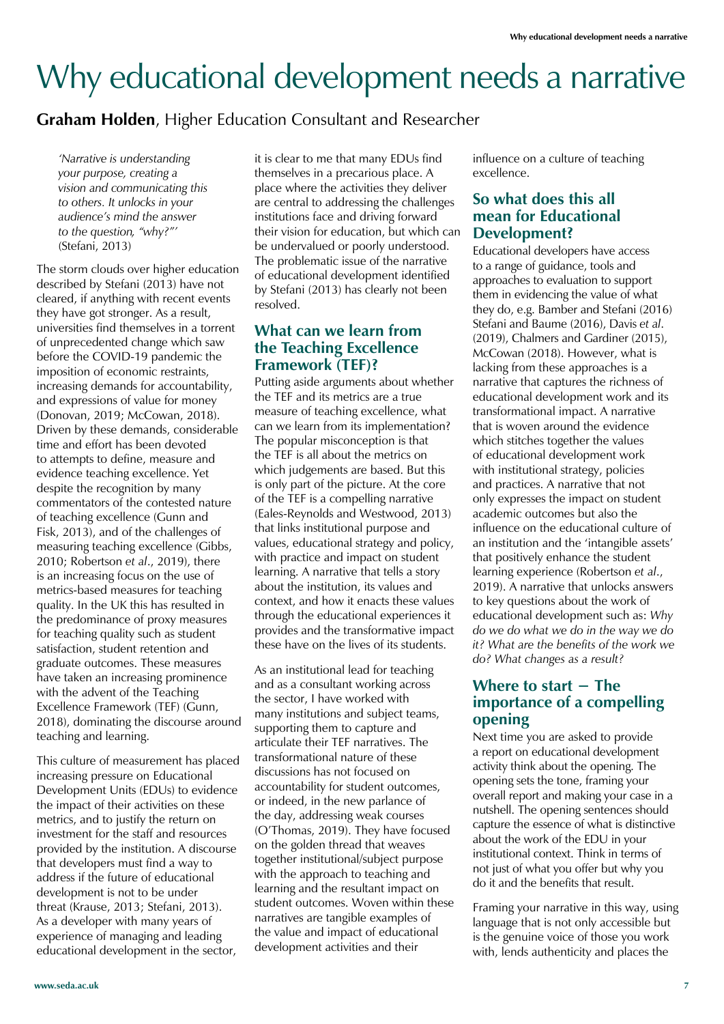## Why educational development needs a narrative

#### **Graham Holden**, Higher Education Consultant and Researcher

*'Narrative is understanding your purpose, creating a vision and communicating this to others. It unlocks in your audience's mind the answer to the question, "why?"'*  (Stefani, 2013)

The storm clouds over higher education described by Stefani (2013) have not cleared, if anything with recent events they have got stronger. As a result, universities find themselves in a torrent of unprecedented change which saw before the COVID-19 pandemic the imposition of economic restraints, increasing demands for accountability, and expressions of value for money (Donovan, 2019; McCowan, 2018). Driven by these demands, considerable time and effort has been devoted to attempts to define, measure and evidence teaching excellence. Yet despite the recognition by many commentators of the contested nature of teaching excellence (Gunn and Fisk, 2013), and of the challenges of measuring teaching excellence (Gibbs, 2010; Robertson *et al*., 2019), there is an increasing focus on the use of metrics-based measures for teaching quality. In the UK this has resulted in the predominance of proxy measures for teaching quality such as student satisfaction, student retention and graduate outcomes. These measures have taken an increasing prominence with the advent of the Teaching Excellence Framework (TEF) (Gunn, 2018), dominating the discourse around teaching and learning.

This culture of measurement has placed increasing pressure on Educational Development Units (EDUs) to evidence the impact of their activities on these metrics, and to justify the return on investment for the staff and resources provided by the institution. A discourse that developers must find a way to address if the future of educational development is not to be under threat (Krause, 2013; Stefani, 2013). As a developer with many years of experience of managing and leading educational development in the sector,

it is clear to me that many EDUs find themselves in a precarious place. A place where the activities they deliver are central to addressing the challenges institutions face and driving forward their vision for education, but which can be undervalued or poorly understood. The problematic issue of the narrative of educational development identified by Stefani (2013) has clearly not been resolved.

#### **What can we learn from the Teaching Excellence Framework (TEF)?**

Putting aside arguments about whether the TEF and its metrics are a true measure of teaching excellence, what can we learn from its implementation? The popular misconception is that the TEF is all about the metrics on which judgements are based. But this is only part of the picture. At the core of the TEF is a compelling narrative (Eales-Reynolds and Westwood, 2013) that links institutional purpose and values, educational strategy and policy, with practice and impact on student learning. A narrative that tells a story about the institution, its values and context, and how it enacts these values through the educational experiences it provides and the transformative impact these have on the lives of its students.

As an institutional lead for teaching and as a consultant working across the sector, I have worked with many institutions and subject teams, supporting them to capture and articulate their TEF narratives. The transformational nature of these discussions has not focused on accountability for student outcomes, or indeed, in the new parlance of the day, addressing weak courses (O'Thomas, 2019). They have focused on the golden thread that weaves together institutional/subject purpose with the approach to teaching and learning and the resultant impact on student outcomes. Woven within these narratives are tangible examples of the value and impact of educational development activities and their

influence on a culture of teaching excellence.

#### **So what does this all mean for Educational Development?**

Educational developers have access to a range of guidance, tools and approaches to evaluation to support them in evidencing the value of what they do, e.g. Bamber and Stefani (2016) Stefani and Baume (2016), Davis *et al*. (2019), Chalmers and Gardiner (2015), McCowan (2018). However, what is lacking from these approaches is a narrative that captures the richness of educational development work and its transformational impact. A narrative that is woven around the evidence which stitches together the values of educational development work with institutional strategy, policies and practices. A narrative that not only expresses the impact on student academic outcomes but also the influence on the educational culture of an institution and the 'intangible assets' that positively enhance the student learning experience (Robertson *et al*., 2019). A narrative that unlocks answers to key questions about the work of educational development such as: *Why do we do what we do in the way we do it? What are the benefits of the work we do? What changes as a result?* 

#### **Where to start – The importance of a compelling opening**

Next time you are asked to provide a report on educational development activity think about the opening. The opening sets the tone, framing your overall report and making your case in a nutshell. The opening sentences should capture the essence of what is distinctive about the work of the EDU in your institutional context. Think in terms of not just of what you offer but why you do it and the benefits that result.

Framing your narrative in this way, using language that is not only accessible but is the genuine voice of those you work with, lends authenticity and places the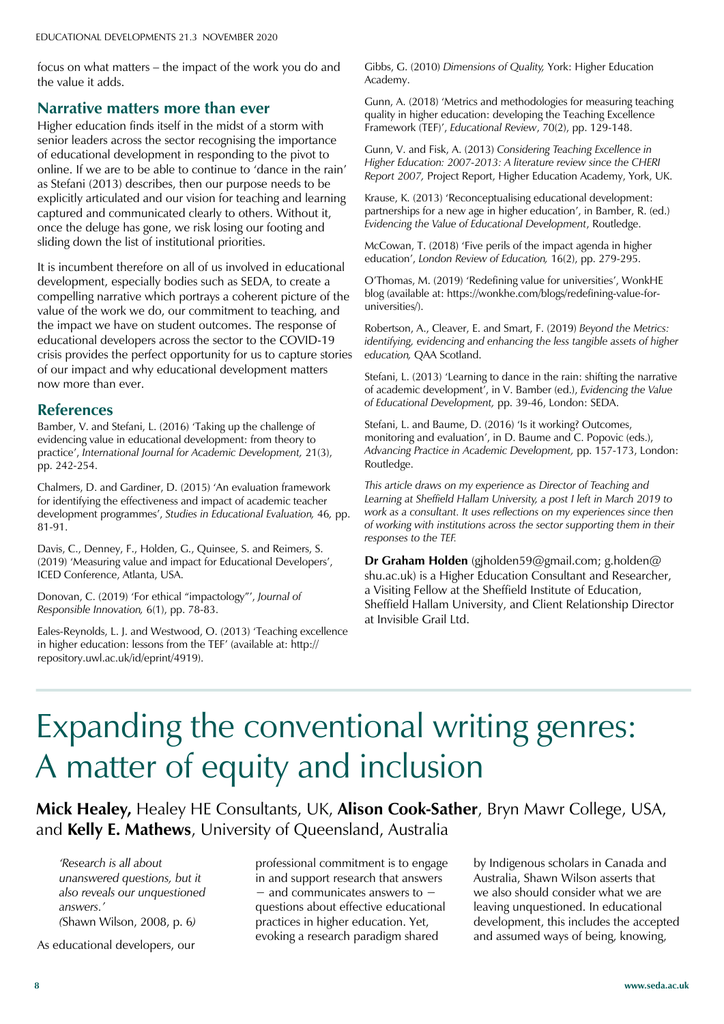focus on what matters  $-$  the impact of the work you do and the value it adds.

#### **Narrative matters more than ever**

Higher education finds itself in the midst of a storm with senior leaders across the sector recognising the importance of educational development in responding to the pivot to online. If we are to be able to continue to 'dance in the rain' as Stefani (2013) describes, then our purpose needs to be explicitly articulated and our vision for teaching and learning captured and communicated clearly to others. Without it, once the deluge has gone, we risk losing our footing and sliding down the list of institutional priorities.

It is incumbent therefore on all of us involved in educational development, especially bodies such as SEDA, to create a compelling narrative which portrays a coherent picture of the value of the work we do, our commitment to teaching, and the impact we have on student outcomes. The response of educational developers across the sector to the COVID-19 crisis provides the perfect opportunity for us to capture stories of our impact and why educational development matters now more than ever.

#### **References**

Bamber, V. and Stefani, L. (2016) 'Taking up the challenge of evidencing value in educational development: from theory to practice', International Journal for Academic Development, 21(3), pp. 242-254.

Chalmers, D. and Gardiner, D. (2015) 'An evaluation framework for identifying the effectiveness and impact of academic teacher development programmes', Studies in Educational Evaluation, 46, pp. 81-91.

Davis, C., Denney, F., Holden, G., Quinsee, S. and Reimers, S. (2019) 'Measuring value and impact for Educational Developers', ICED Conference, Atlanta, USA.

Donovan, C. (2019) 'For ethical "impactology"', Journal of *Responsible Innovation,* 6(1), pp. 78-83.

Eales-Reynolds, L. J. and Westwood, O. (2013) 'Teaching excellence in higher education: lessons from the TEF' (available at: http:// repository.uwl.ac.uk/id/eprint/4919).

Gibbs, G. (2010) *Dimensions of Quality,* York: Higher Education Academy.

Gunn, A. (2018) 'Metrics and methodologies for measuring teaching quality in higher education: developing the Teaching Excellence Framework (TEF)', Educational Review, 70(2), pp. 129-148.

Gunn, V. and Fisk, A. (2013) *Considering Teaching Excellence in Higher Education: 2007-2013: A literature review since the CHERI Report 2007,* Project Report, Higher Education Academy, York, UK.

Krause, K. (2013) 'Reconceptualising educational development: partnerships for a new age in higher education', in Bamber, R. (ed.) *Evidencing the Value of Educational Development*, Routledge.

McCowan, T. (2018) 'Five perils of the impact agenda in higher education', London Review of Education, 16(2), pp. 279-295.

O'Thomas, M. (2019) 'Redefining value for universities', WonkHE blog (available at: https://wonkhe.com/blogs/redefining-value-foruniversities/).

Robertson, A., Cleaver, E. and Smart, F. (2019) *Beyond the Metrics: identifying, evidencing and enhancing the less tangible assets of higher education,* QAA Scotland.

Stefani, L. (2013) 'Learning to dance in the rain: shifting the narrative of academic development', in V. Bamber (ed.), *Evidencing the Value of Educational Development,* pp. 39-46, London: SEDA.

Stefani, L. and Baume, D. (2016) 'Is it working? Outcomes, monitoring and evaluation', in D. Baume and C. Popovic (eds.), *Advancing Practice in Academic Development,* pp. 157-173, London: Routledge.

*This article draws on my experience as Director of Teaching and Learning at Sheffield Hallam University, a post I left in March 2019 to work as a consultant. It uses reflections on my experiences since then of working with institutions across the sector supporting them in their responses to the TEF.* 

**Dr Graham Holden** (gjholden59@gmail.com; g.holden@ shu.ac.uk) is a Higher Education Consultant and Researcher, a Visiting Fellow at the Sheffield Institute of Education, Sheffield Hallam University, and Client Relationship Director at Invisible Grail Ltd.

### Expanding the conventional writing genres: A matter of equity and inclusion

**Mick Healey,** Healey HE Consultants, UK, **Alison Cook-Sather**, Bryn Mawr College, USA, and **Kelly E. Mathews**, University of Queensland, Australia

*'Research is all about unanswered questions, but it also reveals our unquestioned answers.' (*Shawn Wilson, 2008, p. 6*)*

As educational developers, our

professional commitment is to engage in and support research that answers  $-$  and communicates answers to  $$ questions about effective educational practices in higher education. Yet, evoking a research paradigm shared

by Indigenous scholars in Canada and Australia, Shawn Wilson asserts that we also should consider what we are leaving unquestioned. In educational development, this includes the accepted and assumed ways of being, knowing,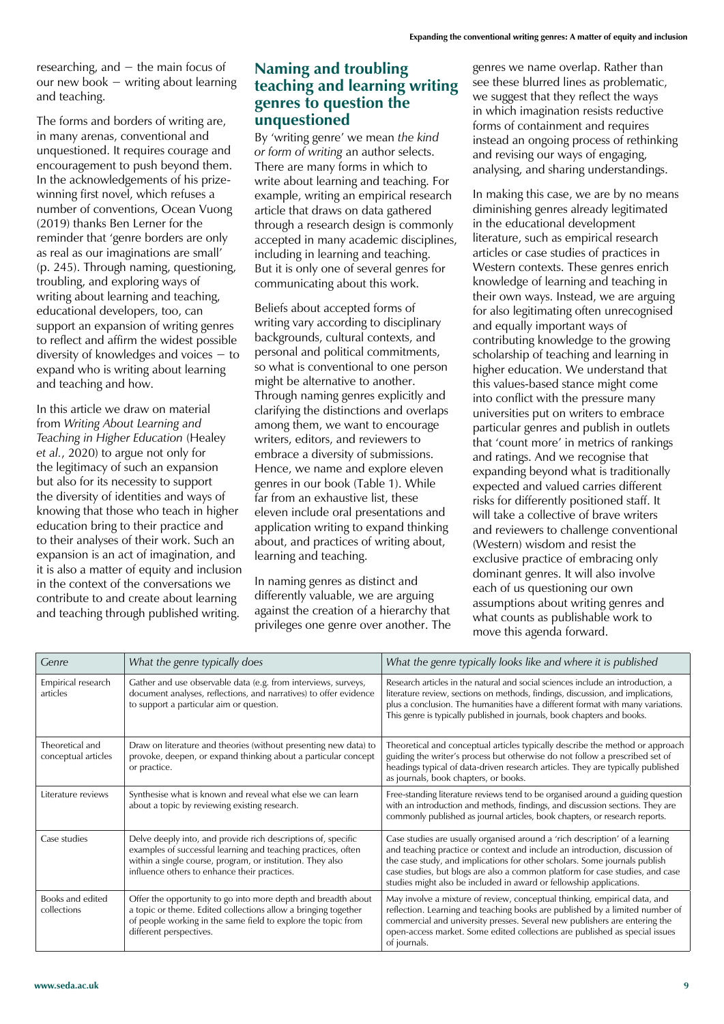researching, and  $-$  the main focus of our new book  $-$  writing about learning and teaching.

The forms and borders of writing are, in many arenas, conventional and unquestioned. It requires courage and encouragement to push beyond them. In the acknowledgements of his prizewinning first novel, which refuses a number of conventions, Ocean Vuong (2019) thanks Ben Lerner for the reminder that 'genre borders are only as real as our imaginations are small' (p. 245). Through naming, questioning, troubling, and exploring ways of writing about learning and teaching, educational developers, too, can support an expansion of writing genres to reflect and affirm the widest possible diversity of knowledges and voices  $-$  to expand who is writing about learning and teaching and how.

In this article we draw on material from *Writing About Learning and Teaching in Higher Education* (Healey *et al.*, 2020) to argue not only for the legitimacy of such an expansion but also for its necessity to support the diversity of identities and ways of knowing that those who teach in higher education bring to their practice and to their analyses of their work. Such an expansion is an act of imagination, and it is also a matter of equity and inclusion in the context of the conversations we contribute to and create about learning and teaching through published writing.

#### **Naming and troubling teaching and learning writing genres to question the unquestioned**

By 'writing genre' we mean the kind *or form of writing* an author selects. There are many forms in which to write about learning and teaching. For example, writing an empirical research article that draws on data gathered through a research design is commonly accepted in many academic disciplines, including in learning and teaching. But it is only one of several genres for communicating about this work.

Beliefs about accepted forms of writing vary according to disciplinary backgrounds, cultural contexts, and personal and political commitments, so what is conventional to one person might be alternative to another. Through naming genres explicitly and clarifying the distinctions and overlaps among them, we want to encourage writers, editors, and reviewers to embrace a diversity of submissions. Hence, we name and explore eleven genres in our book (Table 1). While far from an exhaustive list, these eleven include oral presentations and application writing to expand thinking about, and practices of writing about, learning and teaching.

In naming genres as distinct and differently valuable, we are arguing against the creation of a hierarchy that privileges one genre over another. The genres we name overlap. Rather than see these blurred lines as problematic, we suggest that they reflect the ways in which imagination resists reductive forms of containment and requires instead an ongoing process of rethinking and revising our ways of engaging, analysing, and sharing understandings.

In making this case, we are by no means diminishing genres already legitimated in the educational development literature, such as empirical research articles or case studies of practices in Western contexts. These genres enrich knowledge of learning and teaching in their own ways. Instead, we are arguing for also legitimating often unrecognised and equally important ways of contributing knowledge to the growing scholarship of teaching and learning in higher education. We understand that this values-based stance might come into conflict with the pressure many universities put on writers to embrace particular genres and publish in outlets that 'count more' in metrics of rankings and ratings. And we recognise that expanding beyond what is traditionally expected and valued carries different risks for differently positioned staff. It will take a collective of brave writers and reviewers to challenge conventional (Western) wisdom and resist the exclusive practice of embracing only dominant genres. It will also involve each of us questioning our own assumptions about writing genres and what counts as publishable work to move this agenda forward.

| Genre                                  | What the genre typically does                                                                                                                                                                                                                | What the genre typically looks like and where it is published                                                                                                                                                                                                                                                                                                                                     |
|----------------------------------------|----------------------------------------------------------------------------------------------------------------------------------------------------------------------------------------------------------------------------------------------|---------------------------------------------------------------------------------------------------------------------------------------------------------------------------------------------------------------------------------------------------------------------------------------------------------------------------------------------------------------------------------------------------|
| Empirical research<br>articles         | Gather and use observable data (e.g. from interviews, surveys,<br>document analyses, reflections, and narratives) to offer evidence<br>to support a particular aim or question.                                                              | Research articles in the natural and social sciences include an introduction, a<br>literature review, sections on methods, findings, discussion, and implications,<br>plus a conclusion. The humanities have a different format with many variations.<br>This genre is typically published in journals, book chapters and books.                                                                  |
| Theoretical and<br>conceptual articles | Draw on literature and theories (without presenting new data) to<br>provoke, deepen, or expand thinking about a particular concept<br>or practice.                                                                                           | Theoretical and conceptual articles typically describe the method or approach<br>guiding the writer's process but otherwise do not follow a prescribed set of<br>headings typical of data-driven research articles. They are typically published<br>as journals, book chapters, or books.                                                                                                         |
| l iterature reviews                    | Synthesise what is known and reveal what else we can learn<br>about a topic by reviewing existing research.                                                                                                                                  | Free-standing literature reviews tend to be organised around a guiding question<br>with an introduction and methods, findings, and discussion sections. They are<br>commonly published as journal articles, book chapters, or research reports.                                                                                                                                                   |
| Case studies                           | Delve deeply into, and provide rich descriptions of, specific<br>examples of successful learning and teaching practices, often<br>within a single course, program, or institution. They also<br>influence others to enhance their practices. | Case studies are usually organised around a 'rich description' of a learning<br>and teaching practice or context and include an introduction, discussion of<br>the case study, and implications for other scholars. Some journals publish<br>case studies, but blogs are also a common platform for case studies, and case<br>studies might also be included in award or fellowship applications. |
| Books and edited<br>collections        | Offer the opportunity to go into more depth and breadth about<br>a topic or theme. Edited collections allow a bringing together<br>of people working in the same field to explore the topic from<br>different perspectives.                  | May involve a mixture of review, conceptual thinking, empirical data, and<br>reflection. Learning and teaching books are published by a limited number of<br>commercial and university presses. Several new publishers are entering the<br>open-access market. Some edited collections are published as special issues<br>of journals.                                                            |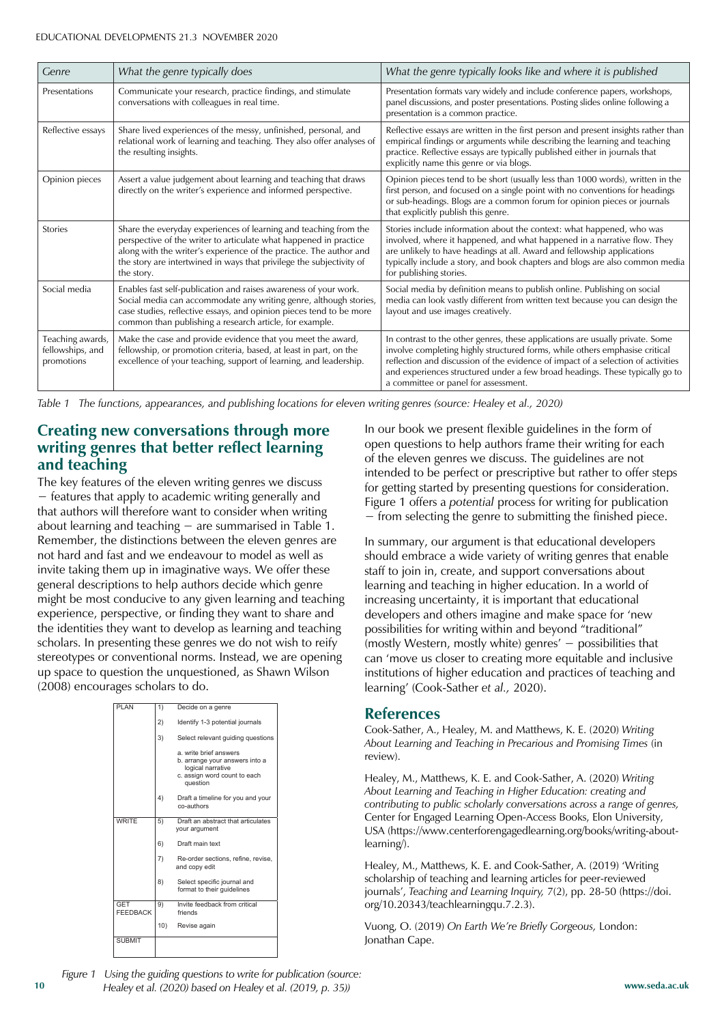| Genre                                              | What the genre typically does                                                                                                                                                                                                                                                                     | What the genre typically looks like and where it is published                                                                                                                                                                                                                                                                                                            |
|----------------------------------------------------|---------------------------------------------------------------------------------------------------------------------------------------------------------------------------------------------------------------------------------------------------------------------------------------------------|--------------------------------------------------------------------------------------------------------------------------------------------------------------------------------------------------------------------------------------------------------------------------------------------------------------------------------------------------------------------------|
| Presentations                                      | Communicate your research, practice findings, and stimulate<br>conversations with colleagues in real time.                                                                                                                                                                                        | Presentation formats vary widely and include conference papers, workshops,<br>panel discussions, and poster presentations. Posting slides online following a<br>presentation is a common practice.                                                                                                                                                                       |
| Reflective essays                                  | Share lived experiences of the messy, unfinished, personal, and<br>relational work of learning and teaching. They also offer analyses of<br>the resulting insights.                                                                                                                               | Reflective essays are written in the first person and present insights rather than<br>empirical findings or arguments while describing the learning and teaching<br>practice. Reflective essays are typically published either in journals that<br>explicitly name this genre or via blogs.                                                                              |
| Opinion pieces                                     | Assert a value judgement about learning and teaching that draws<br>directly on the writer's experience and informed perspective.                                                                                                                                                                  | Opinion pieces tend to be short (usually less than 1000 words), written in the<br>first person, and focused on a single point with no conventions for headings<br>or sub-headings. Blogs are a common forum for opinion pieces or journals<br>that explicitly publish this genre.                                                                                        |
| <b>Stories</b>                                     | Share the everyday experiences of learning and teaching from the<br>perspective of the writer to articulate what happened in practice<br>along with the writer's experience of the practice. The author and<br>the story are intertwined in ways that privilege the subjectivity of<br>the story. | Stories include information about the context: what happened, who was<br>involved, where it happened, and what happened in a narrative flow. They<br>are unlikely to have headings at all. Award and fellowship applications<br>typically include a story, and book chapters and blogs are also common media<br>for publishing stories.                                  |
| Social media                                       | Enables fast self-publication and raises awareness of your work.<br>Social media can accommodate any writing genre, although stories,<br>case studies, reflective essays, and opinion pieces tend to be more<br>common than publishing a research article, for example.                           | Social media by definition means to publish online. Publishing on social<br>media can look vastly different from written text because you can design the<br>layout and use images creatively.                                                                                                                                                                            |
| Teaching awards,<br>fellowships, and<br>promotions | Make the case and provide evidence that you meet the award,<br>fellowship, or promotion criteria, based, at least in part, on the<br>excellence of your teaching, support of learning, and leadership.                                                                                            | In contrast to the other genres, these applications are usually private. Some<br>involve completing highly structured forms, while others emphasise critical<br>reflection and discussion of the evidence of impact of a selection of activities<br>and experiences structured under a few broad headings. These typically go to<br>a committee or panel for assessment. |

*Table 1* The functions, appearances, and publishing locations for eleven writing genres (source: Healey et al., 2020)

#### **Creating new conversations through more writing genres that better reflect learning and teaching**

The key features of the eleven writing genres we discuss  $-$  features that apply to academic writing generally and that authors will therefore want to consider when writing about learning and teaching  $-$  are summarised in Table 1. Remember, the distinctions between the eleven genres are not hard and fast and we endeavour to model as well as invite taking them up in imaginative ways. We offer these general descriptions to help authors decide which genre might be most conducive to any given learning and teaching experience, perspective, or finding they want to share and the identities they want to develop as learning and teaching scholars. In presenting these genres we do not wish to reify stereotypes or conventional norms. Instead, we are opening up space to question the unquestioned, as Shawn Wilson (2008) encourages scholars to do.



In our book we present flexible guidelines in the form of open questions to help authors frame their writing for each of the eleven genres we discuss. The guidelines are not intended to be perfect or prescriptive but rather to offer steps for getting started by presenting questions for consideration. Figure 1 offers a *potential* process for writing for publication  $-$  from selecting the genre to submitting the finished piece.

In summary, our argument is that educational developers should embrace a wide variety of writing genres that enable staff to join in, create, and support conversations about learning and teaching in higher education. In a world of increasing uncertainty, it is important that educational developers and others imagine and make space for 'new possibilities for writing within and beyond "traditional" (mostly Western, mostly white) genres'  $-$  possibilities that can 'move us closer to creating more equitable and inclusive institutions of higher education and practices of teaching and learning' (Cook-Sather et al., 2020).

#### **References**

Cook-Sather, A., Healey, M. and Matthews, K. E. (2020) *Writing About Learning and Teaching in Precarious and Promising Times* (in review).

Healey, M., Matthews, K. E. and Cook-Sather, A. (2020) *Writing About Learning and Teaching in Higher Education: creating and contributing to public scholarly conversations across a range of genres,* Center for Engaged Learning Open-Access Books, Elon University, USA (https://www.centerforengagedlearning.org/books/writing-aboutlearning/).

Healey, M., Matthews, K. E. and Cook-Sather, A. (2019) 'Writing scholarship of teaching and learning articles for peer-reviewed journals', Teaching and Learning Inquiry, 7(2), pp. 28-50 (https://doi. org/10.20343/teachlearningqu.7.2.3).

Vuong, O. (2019) *On Earth We're Briefly Gorgeous,* London: Jonathan Cape.

**10 www.seda.ac.uk**  *Healey et al. (2020) based on Healey et al. (2019, p. 35)) Figure 1 Using the guiding questions to write for publication (source:*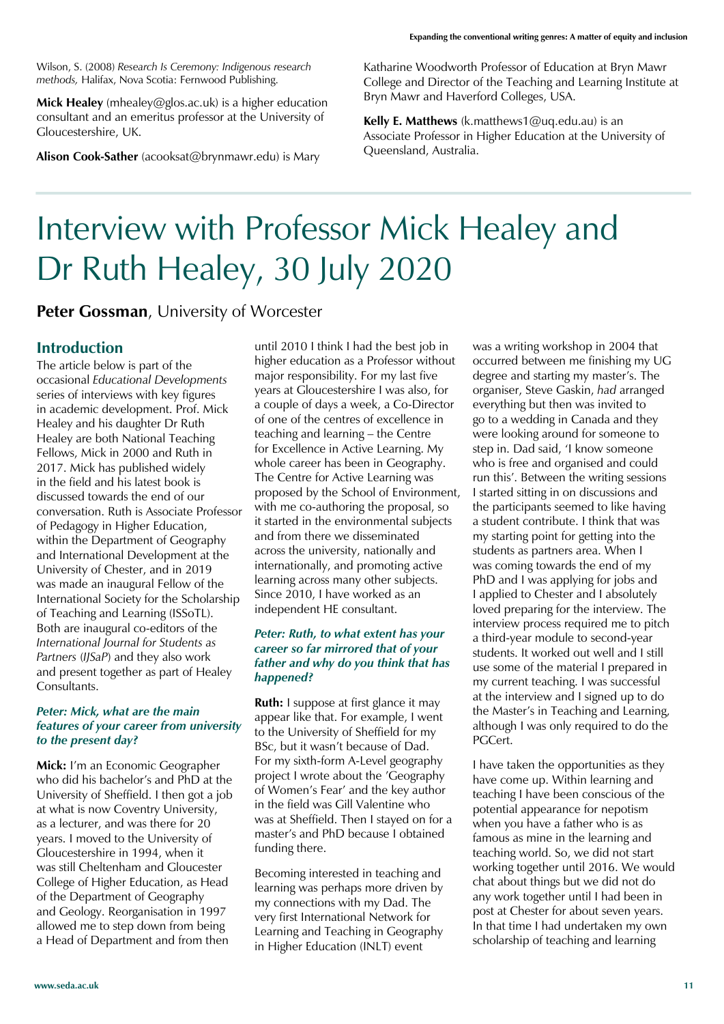Wilson, S. (2008) *Research Is Ceremony: Indigenous research methods,* Halifax, Nova Scotia: Fernwood Publishing.

**Mick Healey** (mhealey@glos.ac.uk) is a higher education consultant and an emeritus professor at the University of Gloucestershire, UK.

**Alison Cook-Sather** (acooksat@brynmawr.edu) is Mary

Katharine Woodworth Professor of Education at Bryn Mawr College and Director of the Teaching and Learning Institute at Bryn Mawr and Haverford Colleges, USA.

**Kelly E. Matthews** (k.matthews1@uq.edu.au) is an Associate Professor in Higher Education at the University of Queensland, Australia.

### Interview with Professor Mick Healey and Dr Ruth Healey, 30 July 2020

**Peter Gossman, University of Worcester** 

#### **Introduction**

The article below is part of the occasional *Educational Developments* series of interviews with key figures in academic development. Prof. Mick Healey and his daughter Dr Ruth Healey are both National Teaching Fellows, Mick in 2000 and Ruth in 2017. Mick has published widely in the field and his latest book is discussed towards the end of our conversation. Ruth is Associate Professor of Pedagogy in Higher Education, within the Department of Geography and International Development at the University of Chester, and in 2019 was made an inaugural Fellow of the International Society for the Scholarship of Teaching and Learning (ISSoTL). Both are inaugural co-editors of the *International Journal for Students as Partners* (*IJSaP*) and they also work and present together as part of Healey Consultants.

#### *Peter: Mick, what are the main features of your career from university to the present day?*

**Mick:** I'm an Economic Geographer who did his bachelor's and PhD at the University of Sheffield. I then got a job at what is now Coventry University, as a lecturer, and was there for 20 years. I moved to the University of Gloucestershire in 1994, when it was still Cheltenham and Gloucester College of Higher Education, as Head of the Department of Geography and Geology. Reorganisation in 1997 allowed me to step down from being a Head of Department and from then

until 2010 I think I had the best job in higher education as a Professor without major responsibility. For my last five years at Gloucestershire I was also, for a couple of days a week, a Co-Director of one of the centres of excellence in teaching and learning - the Centre for Excellence in Active Learning. My whole career has been in Geography. The Centre for Active Learning was proposed by the School of Environment, with me co-authoring the proposal, so it started in the environmental subjects and from there we disseminated across the university, nationally and internationally, and promoting active learning across many other subjects. Since 2010, I have worked as an independent HE consultant.

#### *Peter: Ruth, to what extent has your career so far mirrored that of your father and why do you think that has happened?*

**Ruth:** I suppose at first glance it may appear like that. For example, I went to the University of Sheffield for my BSc, but it wasn't because of Dad. For my sixth-form A-Level geography project I wrote about the 'Geography of Women's Fear' and the key author in the field was Gill Valentine who was at Sheffield. Then I stayed on for a master's and PhD because I obtained funding there.

Becoming interested in teaching and learning was perhaps more driven by my connections with my Dad. The very first International Network for Learning and Teaching in Geography in Higher Education (INLT) event

was a writing workshop in 2004 that occurred between me finishing my UG degree and starting my master's. The organiser, Steve Gaskin, *had* arranged everything but then was invited to go to a wedding in Canada and they were looking around for someone to step in. Dad said, 'I know someone who is free and organised and could run this'. Between the writing sessions I started sitting in on discussions and the participants seemed to like having a student contribute. I think that was my starting point for getting into the students as partners area. When I was coming towards the end of my PhD and I was applying for jobs and I applied to Chester and I absolutely loved preparing for the interview. The interview process required me to pitch a third-year module to second-year students. It worked out well and I still use some of the material I prepared in my current teaching. I was successful at the interview and I signed up to do the Master's in Teaching and Learning, although I was only required to do the PGCert.

I have taken the opportunities as they have come up. Within learning and teaching I have been conscious of the potential appearance for nepotism when you have a father who is as famous as mine in the learning and teaching world. So, we did not start working together until 2016. We would chat about things but we did not do any work together until I had been in post at Chester for about seven years. In that time I had undertaken my own scholarship of teaching and learning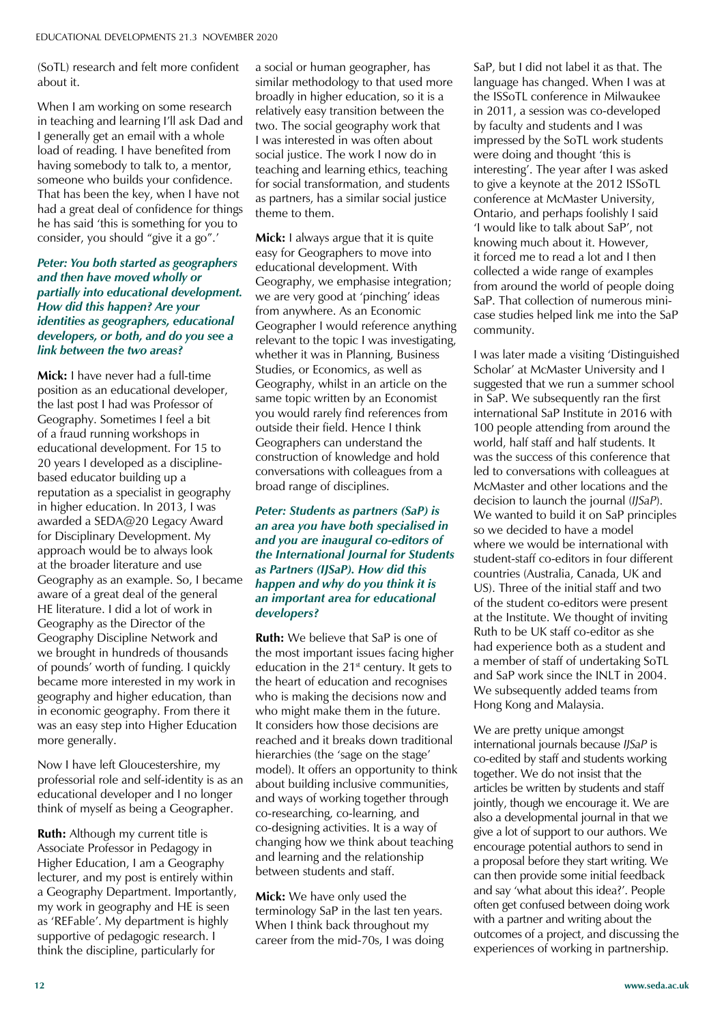(SoTL) research and felt more confident about it.

When I am working on some research in teaching and learning I'll ask Dad and I generally get an email with a whole load of reading. I have benefited from having somebody to talk to, a mentor, someone who builds your confidence. That has been the key, when I have not had a great deal of confidence for things he has said 'this is something for you to consider, you should "give it a go".'

#### *Peter: You both started as geographers and then have moved wholly or partially into educational development. How did this happen? Are your identities as geographers, educational developers, or both, and do you see a link between the two areas?*

**Mick:** I have never had a full-time position as an educational developer, the last post I had was Professor of Geography. Sometimes I feel a bit of a fraud running workshops in educational development. For 15 to 20 years I developed as a disciplinebased educator building up a reputation as a specialist in geography in higher education. In 2013, I was awarded a SEDA@20 Legacy Award for Disciplinary Development. My approach would be to always look at the broader literature and use Geography as an example. So, I became aware of a great deal of the general HE literature. I did a lot of work in Geography as the Director of the Geography Discipline Network and we brought in hundreds of thousands of pounds' worth of funding. I quickly became more interested in my work in geography and higher education, than in economic geography. From there it was an easy step into Higher Education more generally.

Now I have left Gloucestershire, my professorial role and self-identity is as an educational developer and I no longer think of myself as being a Geographer.

**Ruth:** Although my current title is Associate Professor in Pedagogy in Higher Education, I am a Geography lecturer, and my post is entirely within a Geography Department. Importantly, my work in geography and HE is seen as 'REFable'. My department is highly supportive of pedagogic research. I think the discipline, particularly for

a social or human geographer, has similar methodology to that used more broadly in higher education, so it is a relatively easy transition between the two. The social geography work that I was interested in was often about social justice. The work I now do in teaching and learning ethics, teaching for social transformation, and students as partners, has a similar social justice theme to them.

**Mick:** I always argue that it is quite easy for Geographers to move into educational development. With Geography, we emphasise integration; we are very good at 'pinching' ideas from anywhere. As an Economic Geographer I would reference anything relevant to the topic I was investigating, whether it was in Planning, Business Studies, or Economics, as well as Geography, whilst in an article on the same topic written by an Economist you would rarely find references from outside their field. Hence I think Geographers can understand the construction of knowledge and hold conversations with colleagues from a broad range of disciplines.

#### *Peter: Students as partners (SaP) is an area you have both specialised in and you are inaugural co-editors of the International Journal for Students as Partners (IJSaP). How did this happen and why do you think it is an important area for educational developers?*

**Ruth:** We believe that SaP is one of the most important issues facing higher education in the  $21<sup>st</sup>$  century. It gets to the heart of education and recognises who is making the decisions now and who might make them in the future. It considers how those decisions are reached and it breaks down traditional hierarchies (the 'sage on the stage' model). It offers an opportunity to think about building inclusive communities, and ways of working together through co-researching, co-learning, and co-designing activities. It is a way of changing how we think about teaching and learning and the relationship between students and staff.

**Mick:** We have only used the terminology SaP in the last ten years. When I think back throughout my career from the mid-70s, I was doing SaP, but I did not label it as that. The language has changed. When I was at the ISSoTL conference in Milwaukee in 2011, a session was co-developed by faculty and students and I was impressed by the SoTL work students were doing and thought 'this is interesting'. The year after I was asked to give a keynote at the 2012 ISSoTL conference at McMaster University, Ontario, and perhaps foolishly I said 'I would like to talk about SaP', not knowing much about it. However, it forced me to read a lot and I then collected a wide range of examples from around the world of people doing SaP. That collection of numerous minicase studies helped link me into the SaP community.

I was later made a visiting 'Distinguished Scholar' at McMaster University and I suggested that we run a summer school in SaP. We subsequently ran the first international SaP Institute in 2016 with 100 people attending from around the world, half staff and half students. It was the success of this conference that led to conversations with colleagues at McMaster and other locations and the decision to launch the journal (*IJSaP*). We wanted to build it on SaP principles so we decided to have a model where we would be international with student-staff co-editors in four different countries (Australia, Canada, UK and US). Three of the initial staff and two of the student co-editors were present at the Institute. We thought of inviting Ruth to be UK staff co-editor as she had experience both as a student and a member of staff of undertaking SoTL and SaP work since the INLT in 2004. We subsequently added teams from Hong Kong and Malaysia.

We are pretty unique amongst international journals because *IJSaP* is co-edited by staff and students working together. We do not insist that the articles be written by students and staff jointly, though we encourage it. We are also a developmental journal in that we give a lot of support to our authors. We encourage potential authors to send in a proposal before they start writing. We can then provide some initial feedback and say 'what about this idea?'. People often get confused between doing work with a partner and writing about the outcomes of a project, and discussing the experiences of working in partnership.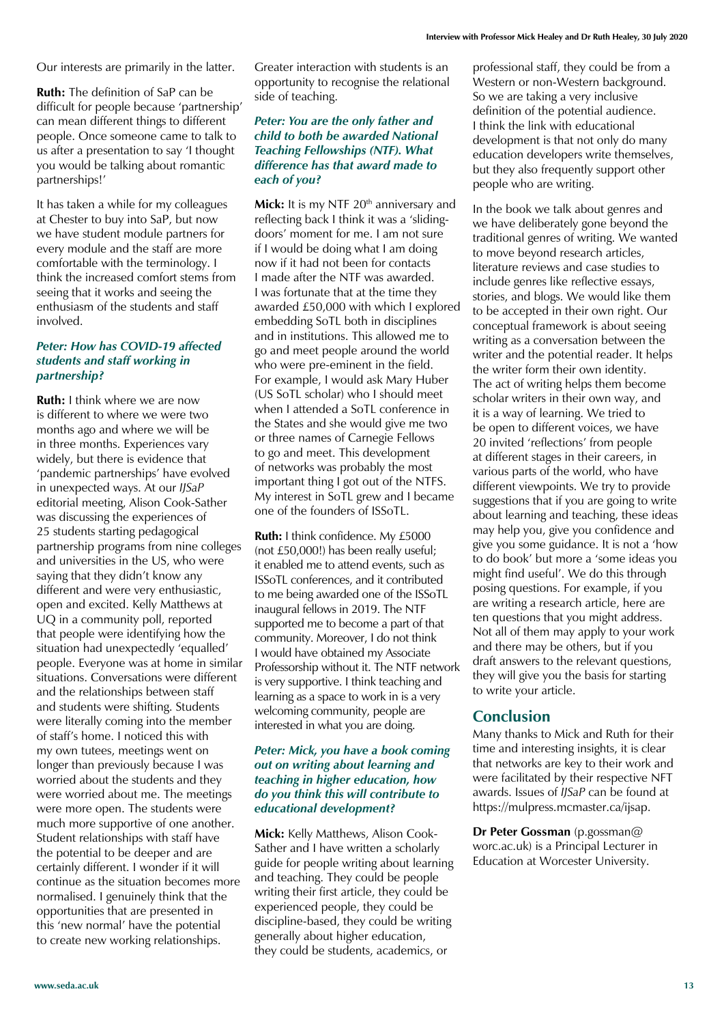Our interests are primarily in the latter.

**Ruth:** The definition of SaP can be difficult for people because 'partnership' can mean different things to different people. Once someone came to talk to us after a presentation to say 'I thought you would be talking about romantic partnerships!'

It has taken a while for my colleagues at Chester to buy into SaP, but now we have student module partners for every module and the staff are more comfortable with the terminology. I think the increased comfort stems from seeing that it works and seeing the enthusiasm of the students and staff involved.

#### *Peter: How has COVID-19 affected students and staff working in partnership?*

**Ruth:** I think where we are now is different to where we were two months ago and where we will be in three months. Experiences vary widely, but there is evidence that 'pandemic partnerships' have evolved in unexpected ways. At our *IJSaP* editorial meeting, Alison Cook-Sather was discussing the experiences of 25 students starting pedagogical partnership programs from nine colleges and universities in the US, who were saying that they didn't know any different and were very enthusiastic, open and excited. Kelly Matthews at UQ in a community poll, reported that people were identifying how the situation had unexpectedly 'equalled' people. Everyone was at home in similar situations. Conversations were different and the relationships between staff and students were shifting. Students were literally coming into the member of staff's home. I noticed this with my own tutees, meetings went on longer than previously because I was worried about the students and they were worried about me. The meetings were more open. The students were much more supportive of one another. Student relationships with staff have the potential to be deeper and are certainly different. I wonder if it will continue as the situation becomes more normalised. I genuinely think that the opportunities that are presented in this 'new normal' have the potential to create new working relationships.

Greater interaction with students is an opportunity to recognise the relational side of teaching.

#### *Peter: You are the only father and child to both be awarded National Teaching Fellowships (NTF). What difference has that award made to each of you?*

Mick: It is my NTF 20<sup>th</sup> anniversary and reflecting back I think it was a 'slidingdoors' moment for me. I am not sure if I would be doing what I am doing now if it had not been for contacts I made after the NTF was awarded. I was fortunate that at the time they awarded £50,000 with which I explored embedding SoTL both in disciplines and in institutions. This allowed me to go and meet people around the world who were pre-eminent in the field. For example, I would ask Mary Huber (US SoTL scholar) who I should meet when I attended a SoTL conference in the States and she would give me two or three names of Carnegie Fellows to go and meet. This development of networks was probably the most important thing I got out of the NTFS. My interest in SoTL grew and I became one of the founders of ISSoTL.

**Ruth:** I think confidence. My £5000 (not £50,000!) has been really useful; it enabled me to attend events, such as ISSoTL conferences, and it contributed to me being awarded one of the ISSoTL inaugural fellows in 2019. The NTF supported me to become a part of that community. Moreover, I do not think I would have obtained my Associate Professorship without it. The NTF network is very supportive. I think teaching and learning as a space to work in is a very welcoming community, people are interested in what you are doing.

#### *Peter: Mick, you have a book coming out on writing about learning and teaching in higher education, how do you think this will contribute to educational development?*

**Mick:** Kelly Matthews, Alison Cook-Sather and I have written a scholarly guide for people writing about learning and teaching. They could be people writing their first article, they could be experienced people, they could be discipline-based, they could be writing generally about higher education, they could be students, academics, or

professional staff, they could be from a Western or non-Western background. So we are taking a very inclusive definition of the potential audience. I think the link with educational development is that not only do many education developers write themselves, but they also frequently support other people who are writing.

In the book we talk about genres and we have deliberately gone beyond the traditional genres of writing. We wanted to move beyond research articles, literature reviews and case studies to include genres like reflective essays, stories, and blogs. We would like them to be accepted in their own right. Our conceptual framework is about seeing writing as a conversation between the writer and the potential reader. It helps the writer form their own identity. The act of writing helps them become scholar writers in their own way, and it is a way of learning. We tried to be open to different voices, we have 20 invited 'reflections' from people at different stages in their careers, in various parts of the world, who have different viewpoints. We try to provide suggestions that if you are going to write about learning and teaching, these ideas may help you, give you confidence and give you some guidance. It is not a 'how to do book' but more a 'some ideas you might find useful'. We do this through posing questions. For example, if you are writing a research article, here are ten questions that you might address. Not all of them may apply to your work and there may be others, but if you draft answers to the relevant questions, they will give you the basis for starting to write your article.

#### **Conclusion**

Many thanks to Mick and Ruth for their time and interesting insights, it is clear that networks are key to their work and were facilitated by their respective NFT awards. Issues of *IJSaP* can be found at https://mulpress.mcmaster.ca/ijsap.

**Dr Peter Gossman** (p.gossman@ worc.ac.uk) is a Principal Lecturer in Education at Worcester University.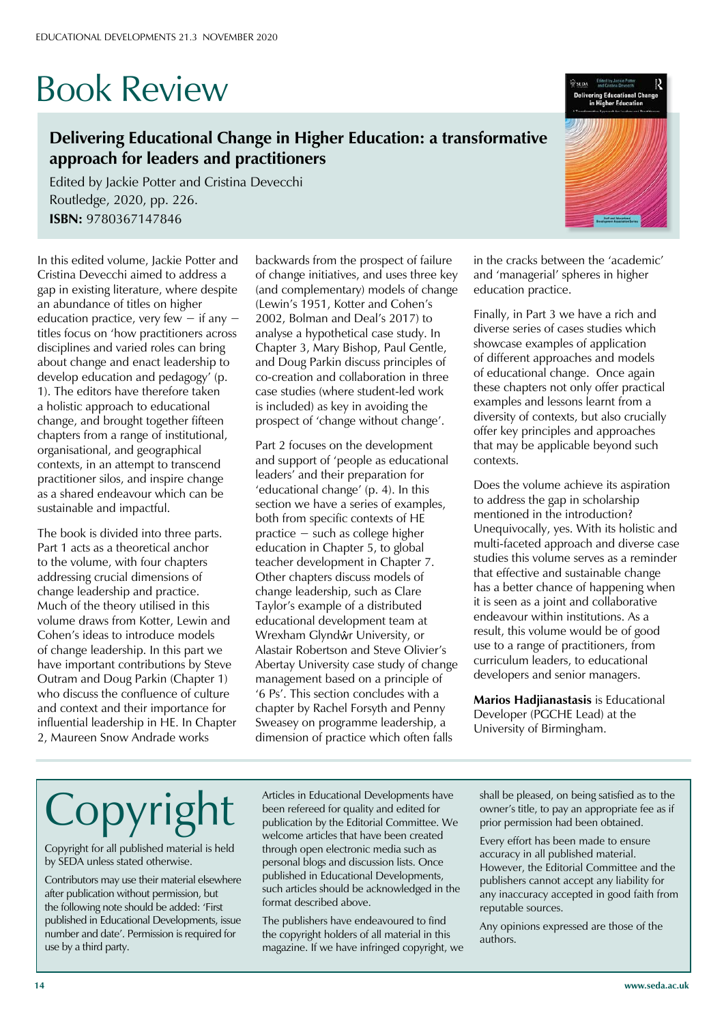# Book Review

#### **Delivering Educational Change in Higher Education: a transformative approach for leaders and practitioners**

Edited by Jackie Potter and Cristina Devecchi Routledge, 2020, pp. 226. **ISBN:** 9780367147846

In this edited volume, Jackie Potter and Cristina Devecchi aimed to address a gap in existing literature, where despite an abundance of titles on higher education practice, very few  $-$  if any  $$ titles focus on 'how practitioners across disciplines and varied roles can bring about change and enact leadership to develop education and pedagogy' (p. 1). The editors have therefore taken a holistic approach to educational change, and brought together fifteen chapters from a range of institutional, organisational, and geographical contexts, in an attempt to transcend practitioner silos, and inspire change as a shared endeavour which can be sustainable and impactful.

The book is divided into three parts. Part 1 acts as a theoretical anchor to the volume, with four chapters addressing crucial dimensions of change leadership and practice. Much of the theory utilised in this volume draws from Kotter, Lewin and Cohen's ideas to introduce models of change leadership. In this part we have important contributions by Steve Outram and Doug Parkin (Chapter 1) who discuss the confluence of culture and context and their importance for influential leadership in HE. In Chapter 2, Maureen Snow Andrade works

backwards from the prospect of failure of change initiatives, and uses three key (and complementary) models of change (Lewin's 1951, Kotter and Cohen's 2002, Bolman and Deal's 2017) to analyse a hypothetical case study. In Chapter 3, Mary Bishop, Paul Gentle, and Doug Parkin discuss principles of co-creation and collaboration in three case studies (where student-led work is included) as key in avoiding the prospect of 'change without change'.

Part 2 focuses on the development and support of 'people as educational leaders' and their preparation for 'educational change' (p. 4). In this section we have a series of examples, both from specific contexts of HE  $practive - such$  as college higher education in Chapter 5, to global teacher development in Chapter 7. Other chapters discuss models of change leadership, such as Clare Taylor's example of a distributed educational development team at Wrexham Glyndŵr University, or Alastair Robertson and Steve Olivier's Abertay University case study of change management based on a principle of '6 Ps'. This section concludes with a chapter by Rachel Forsyth and Penny Sweasey on programme leadership, a dimension of practice which often falls

in the cracks between the 'academic' and 'managerial' spheres in higher education practice.

Finally, in Part 3 we have a rich and diverse series of cases studies which showcase examples of application of different approaches and models of educational change. Once again these chapters not only offer practical examples and lessons learnt from a diversity of contexts, but also crucially offer key principles and approaches that may be applicable beyond such contexts.

Does the volume achieve its aspiration to address the gap in scholarship mentioned in the introduction? Unequivocally, yes. With its holistic and multi-faceted approach and diverse case studies this volume serves as a reminder that effective and sustainable change has a better chance of happening when it is seen as a joint and collaborative endeavour within institutions. As a result, this volume would be of good use to a range of practitioners, from curriculum leaders, to educational developers and senior managers.

**Marios Hadjianastasis** is Educational Developer (PGCHE Lead) at the University of Birmingham.

# Copyrigh

Copyright for all published material is held by SEDA unless stated otherwise.

Contributors may use their material elsewhere after publication without permission, but the following note should be added: 'First published in Educational Developments, issue number and date'. Permission is required for use by a third party.

Articles in Educational Developments have been refereed for quality and edited for publication by the Editorial Committee. We welcome articles that have been created through open electronic media such as personal blogs and discussion lists. Once published in Educational Developments, such articles should be acknowledged in the format described above.

The publishers have endeavoured to find the copyright holders of all material in this magazine. If we have infringed copyright, we shall be pleased, on being satisfied as to the owner's title, to pay an appropriate fee as if prior permission had been obtained.

Every effort has been made to ensure accuracy in all published material. However, the Editorial Committee and the publishers cannot accept any liability for any inaccuracy accepted in good faith from reputable sources.

Any opinions expressed are those of the authors.

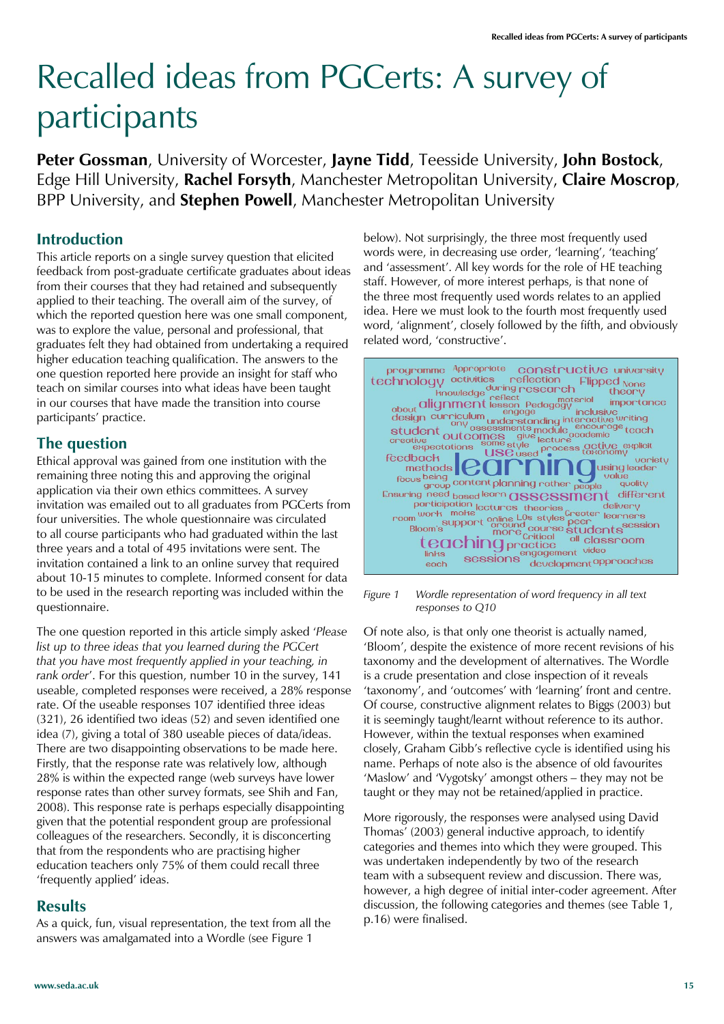# Recalled ideas from PGCerts: A survey of participants

**Peter Gossman**, University of Worcester, **Jayne Tidd**, Teesside University, **John Bostock**, Edge Hill University, **Rachel Forsyth**, Manchester Metropolitan University, **Claire Moscrop**, BPP University, and **Stephen Powell**, Manchester Metropolitan University

#### **Introduction**

This article reports on a single survey question that elicited feedback from post-graduate certificate graduates about ideas from their courses that they had retained and subsequently applied to their teaching. The overall aim of the survey, of which the reported question here was one small component, was to explore the value, personal and professional, that graduates felt they had obtained from undertaking a required higher education teaching qualification. The answers to the one question reported here provide an insight for staff who teach on similar courses into what ideas have been taught in our courses that have made the transition into course participants' practice.

#### **The question**

Ethical approval was gained from one institution with the remaining three noting this and approving the original application via their own ethics committees. A survey invitation was emailed out to all graduates from PGCerts from four universities. The whole questionnaire was circulated to all course participants who had graduated within the last three years and a total of 495 invitations were sent. The invitation contained a link to an online survey that required about 10-15 minutes to complete. Informed consent for data to be used in the research reporting was included within the questionnaire.

The one question reported in this article simply asked 'Please *list up to three ideas that you learned during the PGCert that you have most frequently applied in your teaching, in*  rank order<sup>'</sup>. For this question, number 10 in the survey, 141 useable, completed responses were received, a 28% response rate. Of the useable responses 107 identified three ideas (321), 26 identified two ideas (52) and seven identified one idea (7), giving a total of 380 useable pieces of data/ideas. There are two disappointing observations to be made here. Firstly, that the response rate was relatively low, although 28% is within the expected range (web surveys have lower response rates than other survey formats, see Shih and Fan, 2008). This response rate is perhaps especially disappointing given that the potential respondent group are professional colleagues of the researchers. Secondly, it is disconcerting that from the respondents who are practising higher education teachers only 75% of them could recall three 'frequently applied' ideas.

#### **Results**

As a quick, fun, visual representation, the text from all the answers was amalgamated into a Wordle (see Figure 1

below). Not surprisingly, the three most frequently used words were, in decreasing use order, 'learning', 'teaching' and 'assessment'. All key words for the role of HE teaching staff. However, of more interest perhaps, is that none of the three most frequently used words relates to an applied idea. Here we must look to the fourth most frequently used word, 'alignment', closely followed by the fifth, and obviously related word, 'constructive'.



*Figure 1 Wordle representation of word frequency in all text responses to Q10*

Of note also, is that only one theorist is actually named, 'Bloom', despite the existence of more recent revisions of his taxonomy and the development of alternatives. The Wordle is a crude presentation and close inspection of it reveals 'taxonomy', and 'outcomes' with 'learning' front and centre. Of course, constructive alignment relates to Biggs (2003) but it is seemingly taught/learnt without reference to its author. However, within the textual responses when examined closely, Graham Gibb's reflective cycle is identified using his name. Perhaps of note also is the absence of old favourites 'Maslow' and 'Vygotsky' amongst others - they may not be taught or they may not be retained/applied in practice.

More rigorously, the responses were analysed using David Thomas' (2003) general inductive approach, to identify categories and themes into which they were grouped. This was undertaken independently by two of the research team with a subsequent review and discussion. There was, however, a high degree of initial inter-coder agreement. After discussion, the following categories and themes (see Table 1, p.16) were finalised.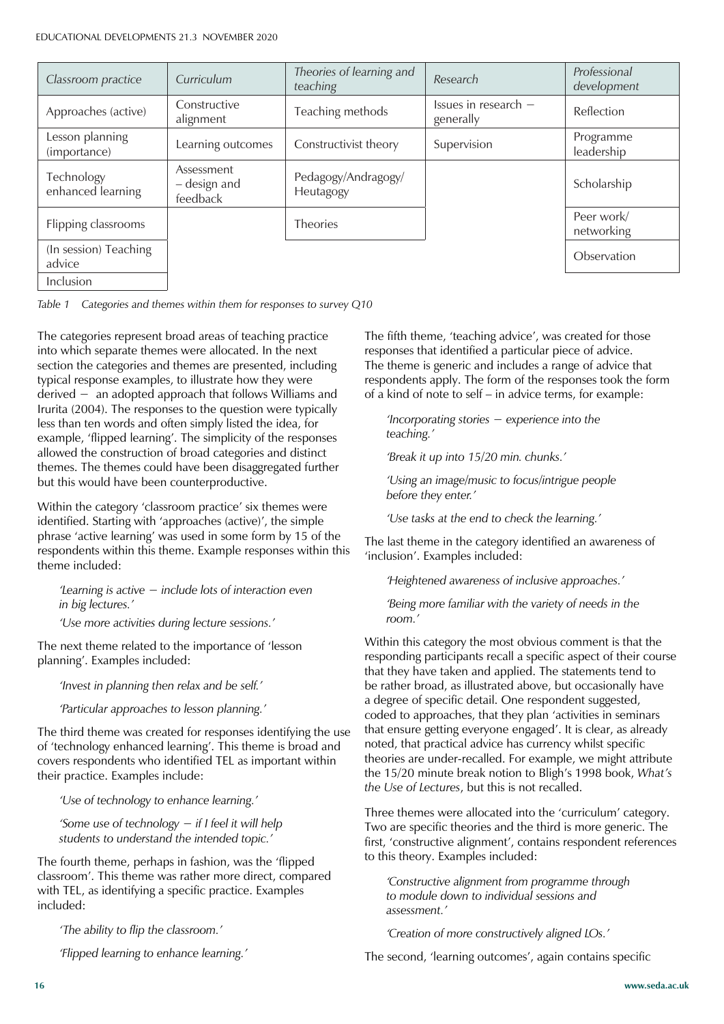| Classroom practice              | Curriculum                             | Theories of learning and<br>teaching | Research                          | Professional<br>development |
|---------------------------------|----------------------------------------|--------------------------------------|-----------------------------------|-----------------------------|
| Approaches (active)             | Constructive<br>alignment              | Teaching methods                     | Issues in research -<br>generally | Reflection                  |
| Lesson planning<br>(importance) | Learning outcomes                      | Constructivist theory                | Supervision                       | Programme<br>leadership     |
| Technology<br>enhanced learning | Assessment<br>- design and<br>feedback | Pedagogy/Andragogy/<br>Heutagogy     |                                   | Scholarship                 |
| Flipping classrooms             |                                        | <b>Theories</b>                      |                                   | Peer work/<br>networking    |
| (In session) Teaching<br>advice |                                        |                                      |                                   | Observation                 |
| Inclusion                       |                                        |                                      |                                   |                             |

*Table 1 Categories and themes within them for responses to survey Q10*

The categories represent broad areas of teaching practice into which separate themes were allocated. In the next section the categories and themes are presented, including typical response examples, to illustrate how they were  $derived -$  an adopted approach that follows Williams and Irurita (2004). The responses to the question were typically less than ten words and often simply listed the idea, for example, 'flipped learning'. The simplicity of the responses allowed the construction of broad categories and distinct themes. The themes could have been disaggregated further but this would have been counterproductive.

Within the category 'classroom practice' six themes were identified. Starting with 'approaches (active)', the simple phrase 'active learning' was used in some form by 15 of the respondents within this theme. Example responses within this theme included:

*Learning is active – include lots of interaction even in big lectures.'*

*'Use more activities during lecture sessions.'*

The next theme related to the importance of 'lesson planning'. Examples included:

*'Invest in planning then relax and be self.'*

*'Particular approaches to lesson planning.'*

The third theme was created for responses identifying the use of 'technology enhanced learning'. This theme is broad and covers respondents who identified TEL as important within their practice. Examples include:

*'Use of technology to enhance learning.'*

*f*Some use of technology - if I feel it will help *students to understand the intended topic.'*

The fourth theme, perhaps in fashion, was the 'flipped classroom'. This theme was rather more direct, compared with TEL, as identifying a specific practice. Examples included:

*'The ability to flip the classroom.'*

*'Flipped learning to enhance learning.'*

The fifth theme, 'teaching advice', was created for those responses that identified a particular piece of advice. The theme is generic and includes a range of advice that respondents apply. The form of the responses took the form of a kind of note to self – in advice terms, for example:

*Incorporating stories - experience into the teaching.'*

*'Break it up into 15/20 min. chunks.'*

*'Using an image/music to focus/intrigue people before they enter.'*

*'Use tasks at the end to check the learning.'*

The last theme in the category identified an awareness of 'inclusion'. Examples included:

*'Heightened awareness of inclusive approaches.'*

*'Being more familiar with the variety of needs in the room.'*

Within this category the most obvious comment is that the responding participants recall a specific aspect of their course that they have taken and applied. The statements tend to be rather broad, as illustrated above, but occasionally have a degree of specific detail. One respondent suggested, coded to approaches, that they plan 'activities in seminars that ensure getting everyone engaged'. It is clear, as already noted, that practical advice has currency whilst specific theories are under-recalled. For example, we might attribute the 15/20 minute break notion to Bligh's 1998 book, What's *the Use of Lectures*, but this is not recalled.

Three themes were allocated into the 'curriculum' category. Two are specific theories and the third is more generic. The first, 'constructive alignment', contains respondent references to this theory. Examples included:

*'Constructive alignment from programme through to module down to individual sessions and assessment.'*

*'Creation of more constructively aligned LOs.'*

The second, 'learning outcomes', again contains specific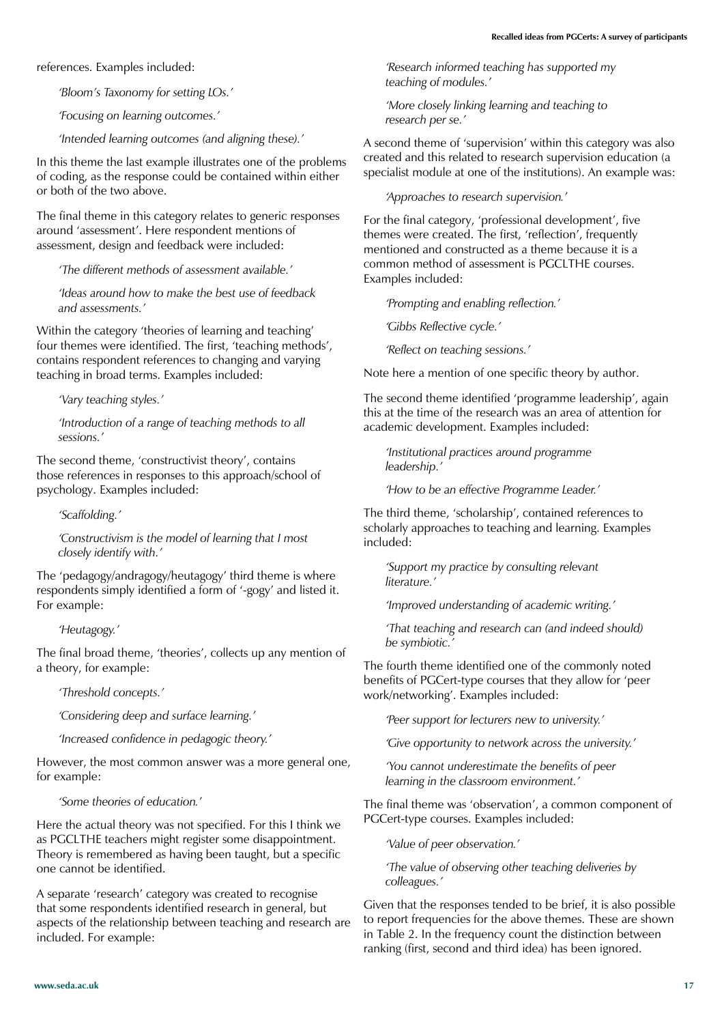references. Examples included:

*'Bloom's Taxonomy for setting LOs.'*

*'Focusing on learning outcomes.'*

*'Intended learning outcomes (and aligning these).'*

In this theme the last example illustrates one of the problems of coding, as the response could be contained within either or both of the two above.

The final theme in this category relates to generic responses around 'assessment'. Here respondent mentions of assessment, design and feedback were included:

*'The different methods of assessment available.'*

*'Ideas around how to make the best use of feedback and assessments.'*

Within the category 'theories of learning and teaching' four themes were identified. The first, 'teaching methods', contains respondent references to changing and varying teaching in broad terms. Examples included:

*'Vary teaching styles.'*

*'Introduction of a range of teaching methods to all sessions.'*

The second theme, 'constructivist theory', contains those references in responses to this approach/school of psychology. Examples included:

*'Scaffolding.'*

*'Constructivism is the model of learning that I most closely identify with.'*

The 'pedagogy/andragogy/heutagogy' third theme is where respondents simply identified a form of '-gogy' and listed it. For example:

*'Heutagogy.'*

The final broad theme, 'theories', collects up any mention of a theory, for example:

*'Threshold concepts.'*

*'Considering deep and surface learning.'*

*'Increased confidence in pedagogic theory.'*

However, the most common answer was a more general one, for example:

*'Some theories of education.'* 

Here the actual theory was not specified. For this I think we as PGCLTHE teachers might register some disappointment. Theory is remembered as having been taught, but a specific one cannot be identified.

A separate 'research' category was created to recognise that some respondents identified research in general, but aspects of the relationship between teaching and research are included. For example:

*'Research informed teaching has supported my teaching of modules.'*

*'More closely linking learning and teaching to research per se.'*

A second theme of 'supervision' within this category was also created and this related to research supervision education (a specialist module at one of the institutions). An example was:

*'Approaches to research supervision.'*

For the final category, 'professional development', five themes were created. The first, 'reflection', frequently mentioned and constructed as a theme because it is a common method of assessment is PGCLTHE courses. Examples included:

*'Prompting and enabling reflection.'*

*'Gibbs Reflective cycle.'*

*'Reflect on teaching sessions.'*

Note here a mention of one specific theory by author.

The second theme identified 'programme leadership', again this at the time of the research was an area of attention for academic development. Examples included:

*'Institutional practices around programme leadership.'*

*'How to be an effective Programme Leader.'*

The third theme, 'scholarship', contained references to scholarly approaches to teaching and learning. Examples included:

*'Support my practice by consulting relevant literature.'*

*'Improved understanding of academic writing.'*

*'That teaching and research can (and indeed should) be symbiotic.'*

The fourth theme identified one of the commonly noted benefits of PGCert-type courses that they allow for 'peer work/networking'. Examples included:

*'Peer support for lecturers new to university.'*

*'Give opportunity to network across the university.'*

*'You cannot underestimate the benefits of peer learning in the classroom environment.'*

The final theme was 'observation', a common component of PGCert-type courses. Examples included:

*'Value of peer observation.'*

*'The value of observing other teaching deliveries by colleagues.'*

Given that the responses tended to be brief, it is also possible to report frequencies for the above themes. These are shown in Table 2. In the frequency count the distinction between ranking (first, second and third idea) has been ignored.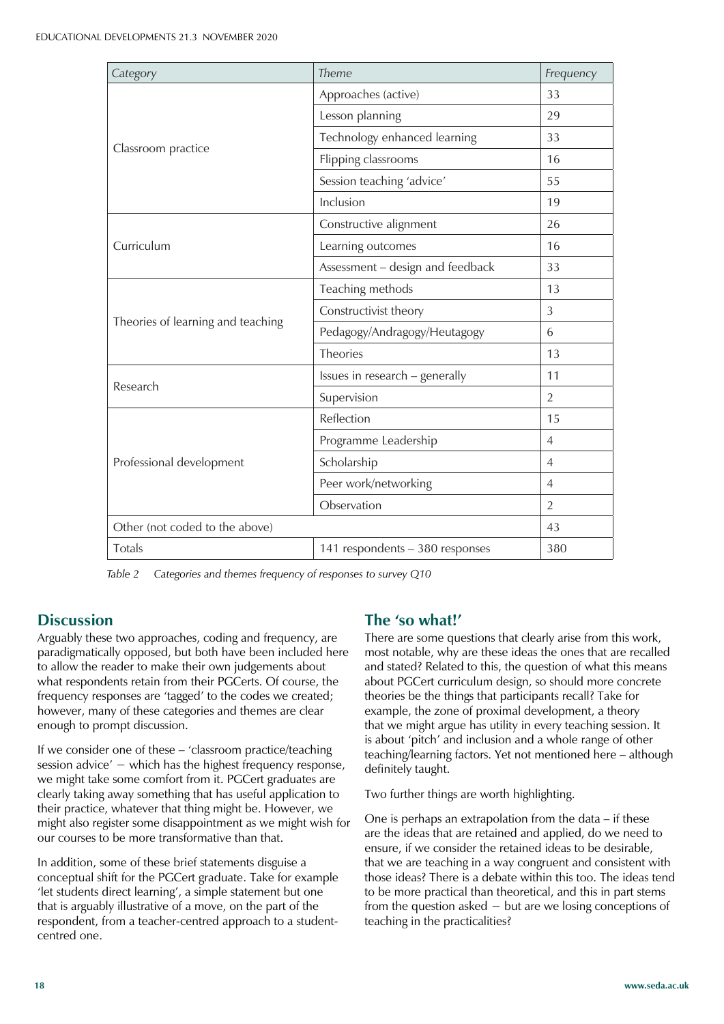| Category                                                                                                      | Theme                            | Frequency      |
|---------------------------------------------------------------------------------------------------------------|----------------------------------|----------------|
|                                                                                                               | Approaches (active)              | 33             |
|                                                                                                               | Lesson planning                  | 29             |
|                                                                                                               | Technology enhanced learning     | 33             |
| Classroom practice<br>Curriculum<br>Theories of learning and teaching<br>Research<br>Professional development | Flipping classrooms              | 16             |
|                                                                                                               | Session teaching 'advice'        | 55             |
|                                                                                                               | Inclusion                        | 19             |
|                                                                                                               | Constructive alignment           | 26             |
|                                                                                                               | Learning outcomes                | 16             |
|                                                                                                               | Assessment - design and feedback | 33             |
|                                                                                                               | Teaching methods                 | 13             |
|                                                                                                               | Constructivist theory            | 3              |
|                                                                                                               | Pedagogy/Andragogy/Heutagogy     | 6              |
|                                                                                                               | <b>Theories</b>                  | 13             |
|                                                                                                               | Issues in research - generally   | 11             |
|                                                                                                               | Supervision                      | $\overline{2}$ |
|                                                                                                               | Reflection                       | 15             |
|                                                                                                               | Programme Leadership             | $\overline{4}$ |
|                                                                                                               | Scholarship                      | $\overline{4}$ |
|                                                                                                               | Peer work/networking             | $\overline{4}$ |
|                                                                                                               | Observation                      | $\overline{2}$ |
| Other (not coded to the above)                                                                                |                                  |                |
| Totals                                                                                                        | 141 respondents - 380 responses  | 380            |

*Table 2 Categories and themes frequency of responses to survey Q10*

#### **Discussion**

Arguably these two approaches, coding and frequency, are paradigmatically opposed, but both have been included here to allow the reader to make their own judgements about what respondents retain from their PGCerts. Of course, the frequency responses are 'tagged' to the codes we created; however, many of these categories and themes are clear enough to prompt discussion.

If we consider one of these  $-$  'classroom practice/teaching session advice' – which has the highest frequency response, we might take some comfort from it. PGCert graduates are clearly taking away something that has useful application to their practice, whatever that thing might be. However, we might also register some disappointment as we might wish for our courses to be more transformative than that.

In addition, some of these brief statements disguise a conceptual shift for the PGCert graduate. Take for example 'let students direct learning', a simple statement but one that is arguably illustrative of a move, on the part of the respondent, from a teacher-centred approach to a studentcentred one.

#### **The 'so what!'**

There are some questions that clearly arise from this work, most notable, why are these ideas the ones that are recalled and stated? Related to this, the question of what this means about PGCert curriculum design, so should more concrete theories be the things that participants recall? Take for example, the zone of proximal development, a theory that we might argue has utility in every teaching session. It is about 'pitch' and inclusion and a whole range of other teaching/learning factors. Yet not mentioned here - although definitely taught.

Two further things are worth highlighting.

One is perhaps an extrapolation from the data  $-$  if these are the ideas that are retained and applied, do we need to ensure, if we consider the retained ideas to be desirable, that we are teaching in a way congruent and consistent with those ideas? There is a debate within this too. The ideas tend to be more practical than theoretical, and this in part stems from the question asked  $-$  but are we losing conceptions of teaching in the practicalities?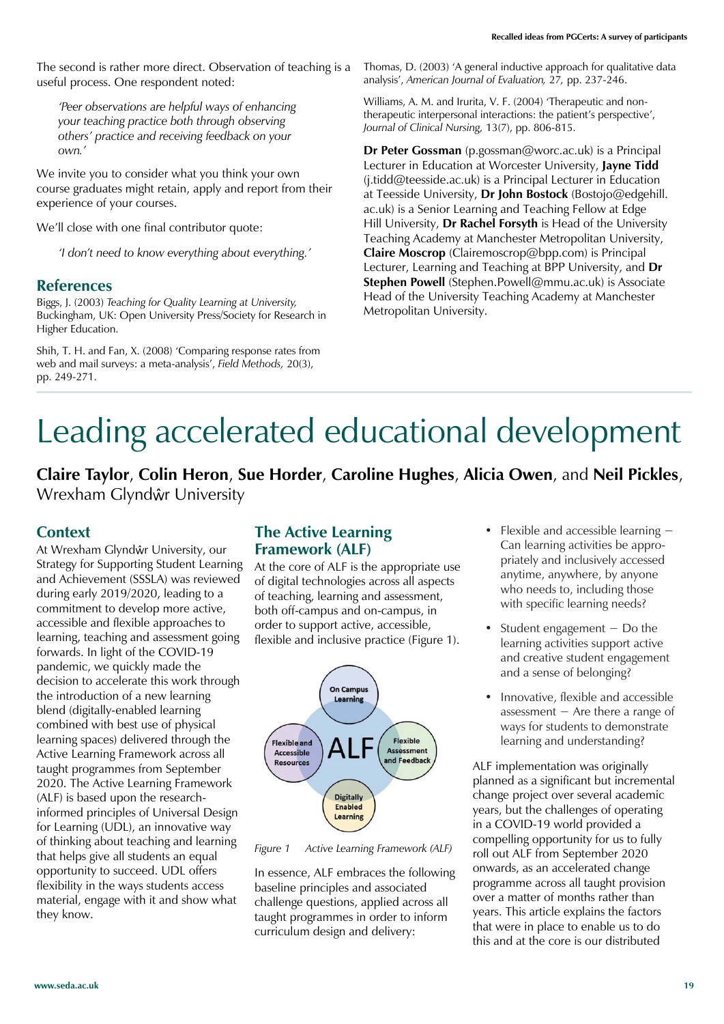The second is rather more direct. Observation of teaching is a useful process. One respondent noted:

*'Peer observations are helpful ways of enhancing your teaching practice both through observing others' practice and receiving feedback on your own.'*

We invite you to consider what you think your own course graduates might retain, apply and report from their experience of your courses.

We'll close with one final contributor quote:

*'I don't need to know everything about everything.'*

#### **References**

Biggs, J. (2003) *Teaching for Quality Learning at University,* Buckingham, UK: Open University Press/Society for Research in Higher Education.

Shih, T. H. and Fan, X. (2008) 'Comparing response rates from web and mail surveys: a meta-analysis', Field Methods, 20(3), pp. 249-271.

Thomas, D. (2003) 'A general inductive approach for qualitative data analysis', American Journal of Evaluation, 27, pp. 237-246.

Williams, A. M. and Irurita, V. F. (2004) 'Therapeutic and nontherapeutic interpersonal interactions: the patient's perspective', *Journal of Clinical Nursing,* 13(7), pp. 806-815.

**Dr Peter Gossman** (p.gossman@worc.ac.uk) is a Principal Lecturer in Education at Worcester University, **Jayne Tidd** (j.tidd@teesside.ac.uk) is a Principal Lecturer in Education at Teesside University, **Dr John Bostock** (Bostojo@edgehill. ac.uk) is a Senior Learning and Teaching Fellow at Edge Hill University, **Dr Rachel Forsyth** is Head of the University Teaching Academy at Manchester Metropolitan University, **Claire Moscrop** (Clairemoscrop@bpp.com) is Principal Lecturer, Learning and Teaching at BPP University, and **Dr Stephen Powell** (Stephen.Powell@mmu.ac.uk) is Associate Head of the University Teaching Academy at Manchester Metropolitan University.

# Leading accelerated educational development

**Claire Taylor**, **Colin Heron**, **Sue Horder**, **Caroline Hughes**, **Alicia Owen**, and **Neil Pickles**, Wrexham Glyndŵr University

#### **Context**

At Wrexham Glyndŵr University, our Strategy for Supporting Student Learning and Achievement (SSSLA) was reviewed during early 2019/2020, leading to a commitment to develop more active, accessible and flexible approaches to learning, teaching and assessment going forwards. In light of the COVID-19 pandemic, we quickly made the decision to accelerate this work through the introduction of a new learning blend (digitally-enabled learning combined with best use of physical learning spaces) delivered through the Active Learning Framework across all taught programmes from September 2020. The Active Learning Framework (ALF) is based upon the researchinformed principles of Universal Design for Learning (UDL), an innovative way of thinking about teaching and learning that helps give all students an equal opportunity to succeed. UDL offers flexibility in the ways students access material, engage with it and show what they know.

#### **The Active Learning Framework (ALF)**

At the core of ALF is the appropriate use of digital technologies across all aspects of teaching, learning and assessment, both off-campus and on-campus, in order to support active, accessible, flexible and inclusive practice (Figure 1).



*Figure 1 Active Learning Framework (ALF)*

In essence, ALF embraces the following baseline principles and associated challenge questions, applied across all taught programmes in order to inform curriculum design and delivery:

- Flexible and accessible learning  $-$ Can learning activities be appropriately and inclusively accessed anytime, anywhere, by anyone who needs to, including those with specific learning needs?
- Student engagement  $-$  Do the learning activities support active and creative student engagement and a sense of belonging?
- Innovative, flexible and accessible assessment  $-$  Are there a range of ways for students to demonstrate learning and understanding?

ALF implementation was originally planned as a significant but incremental change project over several academic years, but the challenges of operating in a COVID-19 world provided a compelling opportunity for us to fully roll out ALF from September 2020 onwards, as an accelerated change programme across all taught provision over a matter of months rather than years. This article explains the factors that were in place to enable us to do this and at the core is our distributed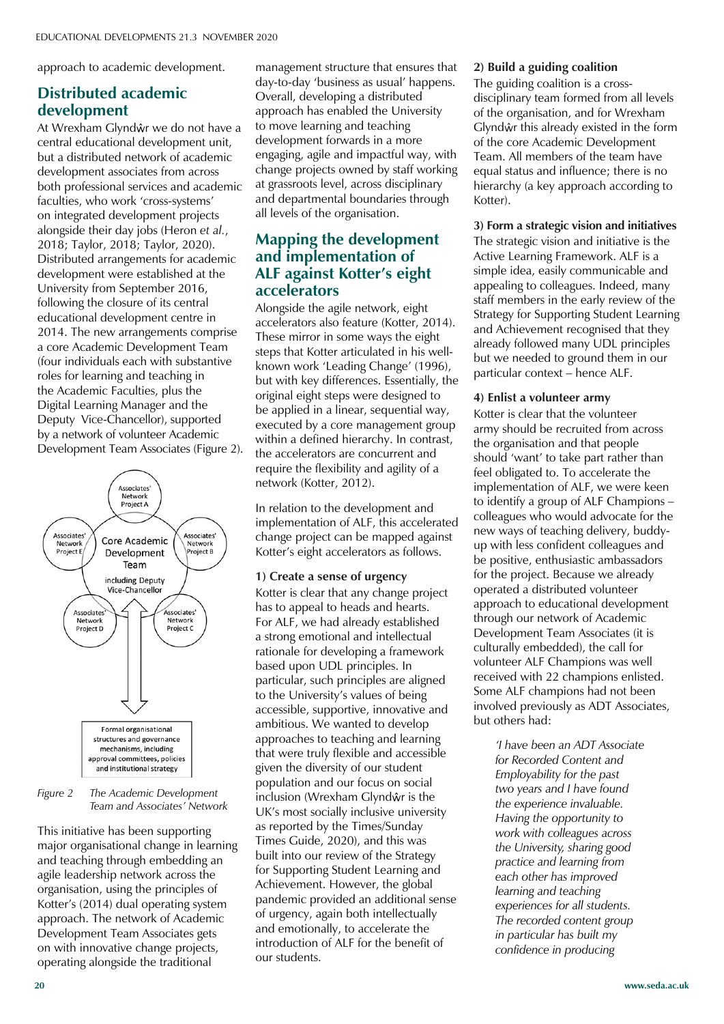approach to academic development.

#### **Distributed academic development**

At Wrexham Glyndŵr we do not have a central educational development unit, but a distributed network of academic development associates from across both professional services and academic faculties, who work 'cross-systems' on integrated development projects alongside their day jobs (Heron *et al.*, 2018; Taylor, 2018; Taylor, 2020). Distributed arrangements for academic development were established at the University from September 2016, following the closure of its central educational development centre in 2014. The new arrangements comprise a core Academic Development Team (four individuals each with substantive roles for learning and teaching in the Academic Faculties, plus the Digital Learning Manager and the Deputy Vice-Chancellor), supported by a network of volunteer Academic Development Team Associates (Figure 2).



#### *Figure 2 The Academic Development Team and Associates' Network*

This initiative has been supporting major organisational change in learning and teaching through embedding an agile leadership network across the organisation, using the principles of Kotter's (2014) dual operating system approach. The network of Academic Development Team Associates gets on with innovative change projects, operating alongside the traditional

management structure that ensures that dav-to-day 'business as usual' happens. Overall, developing a distributed approach has enabled the University to move learning and teaching development forwards in a more engaging, agile and impactful way, with change projects owned by staff working at grassroots level, across disciplinary and departmental boundaries through all levels of the organisation.

#### **Mapping the development and implementation of ALF against Kotter's eight accelerators**

Alongside the agile network, eight accelerators also feature (Kotter, 2014). These mirror in some ways the eight steps that Kotter articulated in his wellknown work 'Leading Change' (1996), but with key differences. Essentially, the original eight steps were designed to be applied in a linear, sequential way, executed by a core management group within a defined hierarchy. In contrast, the accelerators are concurrent and require the flexibility and agility of a network (Kotter, 2012).

In relation to the development and implementation of ALF, this accelerated change project can be mapped against Kotter's eight accelerators as follows.

#### **1) Create a sense of urgency**

Kotter is clear that any change project has to appeal to heads and hearts. For ALF, we had already established a strong emotional and intellectual rationale for developing a framework based upon UDL principles. In particular, such principles are aligned to the University's values of being accessible, supportive, innovative and ambitious. We wanted to develop approaches to teaching and learning that were truly flexible and accessible given the diversity of our student population and our focus on social inclusion (Wrexham Glyndŵr is the UK's most socially inclusive university as reported by the Times/Sunday Times Guide, 2020), and this was built into our review of the Strategy for Supporting Student Learning and Achievement. However, the global pandemic provided an additional sense of urgency, again both intellectually and emotionally, to accelerate the introduction of ALF for the benefit of our students.

#### **2) Build a guiding coalition**

The guiding coalition is a crossdisciplinary team formed from all levels of the organisation, and for Wrexham Glyndŵr this already existed in the form of the core Academic Development Team. All members of the team have equal status and influence; there is no hierarchy (a key approach according to Kotter).

#### **3) Form a strategic vision and initiatives**

The strategic vision and initiative is the Active Learning Framework. ALF is a simple idea, easily communicable and appealing to colleagues. Indeed, many staff members in the early review of the Strategy for Supporting Student Learning and Achievement recognised that they already followed many UDL principles but we needed to ground them in our particular context - hence ALF.

#### **4) Enlist a volunteer army**

Kotter is clear that the volunteer army should be recruited from across the organisation and that people should 'want' to take part rather than feel obligated to. To accelerate the implementation of ALF, we were keen to identify a group of ALF Champions colleagues who would advocate for the new ways of teaching delivery, buddyup with less confident colleagues and be positive, enthusiastic ambassadors for the project. Because we already operated a distributed volunteer approach to educational development through our network of Academic Development Team Associates (it is culturally embedded), the call for volunteer ALF Champions was well received with 22 champions enlisted. Some ALF champions had not been involved previously as ADT Associates, but others had:

> *'I have been an ADT Associate for Recorded Content and Employability for the past two years and I have found the experience invaluable. Having the opportunity to work with colleagues across the University, sharing good practice and learning from each other has improved learning and teaching experiences for all students. The recorded content group in particular has built my confidence in producing*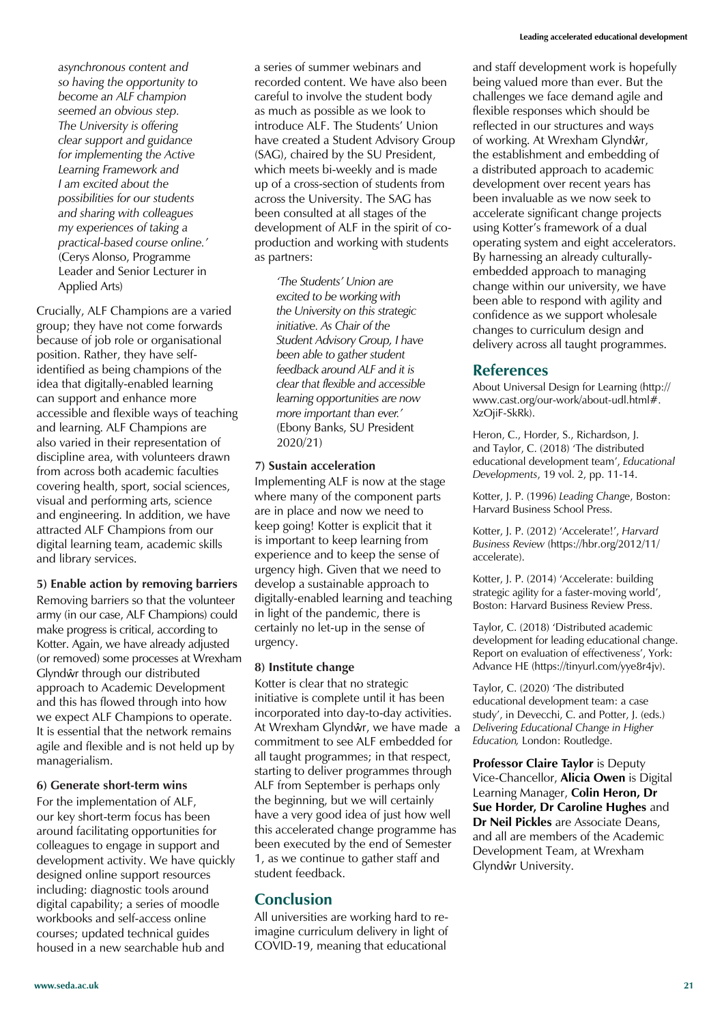*asynchronous content and so having the opportunity to become an ALF champion seemed an obvious step. The University is offering clear support and guidance for implementing the Active Learning Framework and I am excited about the possibilities for our students and sharing with colleagues my experiences of taking a practical-based course online.'*  (Cerys Alonso, Programme Leader and Senior Lecturer in Applied Arts)

Crucially, ALF Champions are a varied group; they have not come forwards because of job role or organisational position. Rather, they have selfidentified as being champions of the idea that digitally-enabled learning can support and enhance more accessible and flexible ways of teaching and learning. ALF Champions are also varied in their representation of discipline area, with volunteers drawn from across both academic faculties covering health, sport, social sciences, visual and performing arts, science and engineering. In addition, we have attracted ALF Champions from our digital learning team, academic skills and library services.

**5) Enable action by removing barriers**

Removing barriers so that the volunteer army (in our case, ALF Champions) could make progress is critical, according to Kotter. Again, we have already adjusted (or removed) some processes at Wrexham Glyndŵr through our distributed approach to Academic Development and this has flowed through into how we expect ALF Champions to operate. It is essential that the network remains agile and flexible and is not held up by managerialism.

#### **6) Generate short-term wins**

For the implementation of ALF, our key short-term focus has been around facilitating opportunities for colleagues to engage in support and development activity. We have quickly designed online support resources including: diagnostic tools around digital capability; a series of moodle workbooks and self-access online courses; updated technical guides housed in a new searchable hub and

a series of summer webinars and recorded content. We have also been careful to involve the student body as much as possible as we look to introduce ALF. The Students' Union have created a Student Advisory Group (SAG), chaired by the SU President, which meets bi-weekly and is made up of a cross-section of students from across the University. The SAG has been consulted at all stages of the development of ALF in the spirit of coproduction and working with students as partners:

> *'The Students' Union are excited to be working with the University on this strategic initiative. As Chair of the Student Advisory Group, I have been able to gather student feedback around ALF and it is clear that flexible and accessible learning opportunities are now more important than ever.'*  (Ebony Banks, SU President 2020/21)

#### **7) Sustain acceleration**

Implementing ALF is now at the stage where many of the component parts are in place and now we need to keep going! Kotter is explicit that it is important to keep learning from experience and to keep the sense of urgency high. Given that we need to develop a sustainable approach to digitally-enabled learning and teaching in light of the pandemic, there is certainly no let-up in the sense of urgency.

#### **8) Institute change**

Kotter is clear that no strategic initiative is complete until it has been incorporated into day-to-day activities. At Wrexham Glyndŵr, we have made a commitment to see ALF embedded for all taught programmes; in that respect, starting to deliver programmes through ALF from September is perhaps only the beginning, but we will certainly have a very good idea of just how well this accelerated change programme has been executed by the end of Semester 1, as we continue to gather staff and student feedback.

#### **Conclusion**

All universities are working hard to reimagine curriculum delivery in light of COVID-19, meaning that educational

and staff development work is hopefully being valued more than ever. But the challenges we face demand agile and flexible responses which should be reflected in our structures and ways of working. At Wrexham Glyndŵr, the establishment and embedding of a distributed approach to academic development over recent years has been invaluable as we now seek to accelerate significant change projects using Kotter's framework of a dual operating system and eight accelerators. By harnessing an already culturallyembedded approach to managing change within our university, we have been able to respond with agility and confidence as we support wholesale changes to curriculum design and delivery across all taught programmes.

#### **References**

About Universal Design for Learning (http:// www.cast.org/our-work/about-udl.html#. XzOjiF-SkRk).

Heron, C., Horder, S., Richardson, J. and Taylor, C. (2018) 'The distributed educational development team', Educational *Developments*, 19 vol. 2, pp. 11-14.

Kotter, J. P. (1996) *Leading Change*, Boston: Harvard Business School Press.

Kotter, J. P. (2012) 'Accelerate!', Harvard *Business Review* (https://hbr.org/2012/11/ accelerate).

Kotter, J. P. (2014) 'Accelerate: building strategic agility for a faster-moving world', Boston: Harvard Business Review Press.

Taylor, C. (2018) 'Distributed academic development for leading educational change. Report on evaluation of effectiveness', York: Advance HE (https://tinyurl.com/yye8r4jv).

Taylor, C. (2020) 'The distributed educational development team: a case study', in Devecchi, C. and Potter, J. (eds.) *Delivering Educational Change in Higher Education,* London: Routledge.

**Professor Claire Taylor** is Deputy Vice-Chancellor, **Alicia Owen** is Digital Learning Manager, **Colin Heron, Dr Sue Horder, Dr Caroline Hughes** and **Dr Neil Pickles** are Associate Deans, and all are members of the Academic Development Team, at Wrexham Glyndŵr University.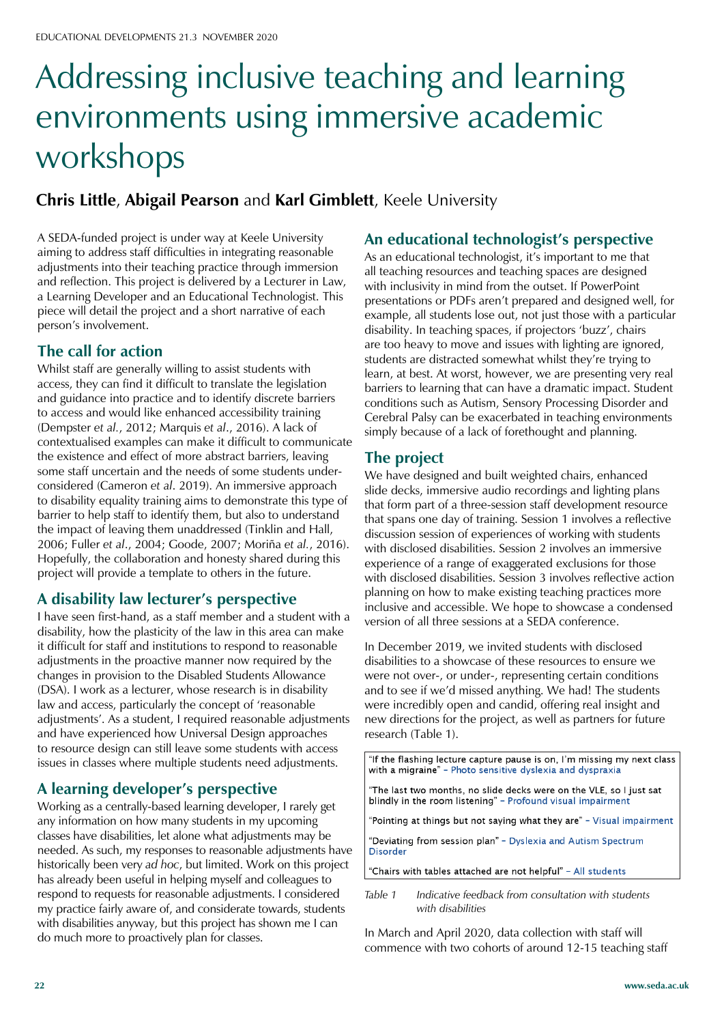# Addressing inclusive teaching and learning environments using immersive academic workshops

#### **Chris Little**, **Abigail Pearson** and **Karl Gimblett**, Keele University

A SEDA-funded project is under way at Keele University aiming to address staff difficulties in integrating reasonable adjustments into their teaching practice through immersion and reflection. This project is delivered by a Lecturer in Law, a Learning Developer and an Educational Technologist. This piece will detail the project and a short narrative of each person's involvement.

#### **The call for action**

Whilst staff are generally willing to assist students with access, they can find it difficult to translate the legislation and guidance into practice and to identify discrete barriers to access and would like enhanced accessibility training (Dempster *et al.*, 2012; Marquis *et al*., 2016). A lack of contextualised examples can make it difficult to communicate the existence and effect of more abstract barriers, leaving some staff uncertain and the needs of some students underconsidered (Cameron *et al*. 2019). An immersive approach to disability equality training aims to demonstrate this type of barrier to help staff to identify them, but also to understand the impact of leaving them unaddressed (Tinklin and Hall, 2006; Fuller et al., 2004; Goode, 2007; Moriña et al., 2016). Hopefully, the collaboration and honesty shared during this project will provide a template to others in the future.

#### **A disability law lecturer's perspective**

I have seen first-hand, as a staff member and a student with a disability, how the plasticity of the law in this area can make it difficult for staff and institutions to respond to reasonable adjustments in the proactive manner now required by the changes in provision to the Disabled Students Allowance (DSA). I work as a lecturer, whose research is in disability law and access, particularly the concept of 'reasonable adjustments'. As a student, I required reasonable adjustments and have experienced how Universal Design approaches to resource design can still leave some students with access issues in classes where multiple students need adjustments.

#### **A learning developer's perspective**

Working as a centrally-based learning developer, I rarely get any information on how many students in my upcoming classes have disabilities, let alone what adjustments may be needed. As such, my responses to reasonable adjustments have historically been very *ad hoc*, but limited. Work on this project has already been useful in helping myself and colleagues to respond to requests for reasonable adjustments. I considered my practice fairly aware of, and considerate towards, students with disabilities anyway, but this project has shown me I can do much more to proactively plan for classes.

#### **An educational technologist's perspective**

As an educational technologist, it's important to me that all teaching resources and teaching spaces are designed with inclusivity in mind from the outset. If PowerPoint presentations or PDFs aren't prepared and designed well, for example, all students lose out, not just those with a particular disability. In teaching spaces, if projectors 'buzz', chairs are too heavy to move and issues with lighting are ignored, students are distracted somewhat whilst they're trying to learn, at best. At worst, however, we are presenting very real barriers to learning that can have a dramatic impact. Student conditions such as Autism, Sensory Processing Disorder and Cerebral Palsy can be exacerbated in teaching environments simply because of a lack of forethought and planning.

#### **The project**

We have designed and built weighted chairs, enhanced slide decks, immersive audio recordings and lighting plans that form part of a three-session staff development resource that spans one day of training. Session 1 involves a reflective discussion session of experiences of working with students with disclosed disabilities. Session 2 involves an immersive experience of a range of exaggerated exclusions for those with disclosed disabilities. Session 3 involves reflective action planning on how to make existing teaching practices more inclusive and accessible. We hope to showcase a condensed version of all three sessions at a SEDA conference.

In December 2019, we invited students with disclosed disabilities to a showcase of these resources to ensure we were not over-, or under-, representing certain conditions and to see if we'd missed anything. We had! The students were incredibly open and candid, offering real insight and new directions for the project, as well as partners for future research (Table 1).

"If the flashing lecture capture pause is on, I'm missing my next class with a migraine" - Photo sensitive dyslexia and dyspraxia

"The last two months, no slide decks were on the VLE, so I just sat blindly in the room listening" - Profound visual impairment

"Pointing at things but not saying what they are" - Visual impairment

"Deviating from session plan" - Dyslexia and Autism Spectrum Disorder

"Chairs with tables attached are not helpful" - All students

*Table 1 Indicative feedback from consultation with students with disabilities*

In March and April 2020, data collection with staff will commence with two cohorts of around 12-15 teaching staff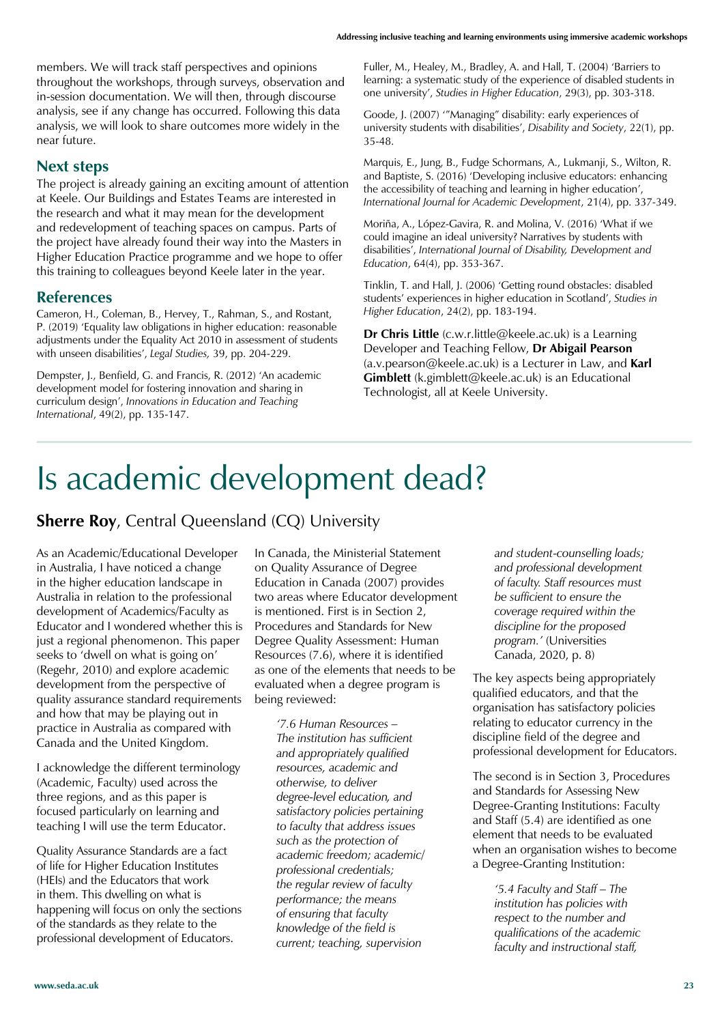members. We will track staff perspectives and opinions throughout the workshops, through surveys, observation and in-session documentation. We will then, through discourse analysis, see if any change has occurred. Following this data analysis, we will look to share outcomes more widely in the near future.

#### **Next steps**

The project is already gaining an exciting amount of attention at Keele. Our Buildings and Estates Teams are interested in the research and what it may mean for the development and redevelopment of teaching spaces on campus. Parts of the project have already found their way into the Masters in Higher Education Practice programme and we hope to offer this training to colleagues beyond Keele later in the year.

#### **References**

Cameron, H., Coleman, B., Hervey, T., Rahman, S., and Rostant, P. (2019) 'Equality law obligations in higher education: reasonable adjustments under the Equality Act 2010 in assessment of students with unseen disabilities', Legal Studies, 39, pp. 204-229.

Dempster, J., Benfield, G. and Francis, R. (2012) 'An academic development model for fostering innovation and sharing in curriculum design', Innovations in Education and Teaching *International*, 49(2), pp. 135-147.

Fuller, M., Healey, M., Bradley, A. and Hall, T. (2004) 'Barriers to learning: a systematic study of the experience of disabled students in one university', Studies in Higher Education, 29(3), pp. 303-318.

Goode, J. (2007) "Managing" disability: early experiences of university students with disabilities', Disability and Society, 22(1), pp. 35-48.

Marquis, E., Jung, B., Fudge Schormans, A., Lukmanji, S., Wilton, R. and Baptiste, S. (2016) 'Developing inclusive educators: enhancing the accessibility of teaching and learning in higher education', *International Journal for Academic Development*, 21(4), pp. 337-349.

Moriña, A., López-Gavira, R. and Molina, V. (2016) 'What if we could imagine an ideal university? Narratives by students with disabilities', International Journal of Disability, Development and *Education*, 64(4), pp. 353-367.

Tinklin, T. and Hall, J. (2006) 'Getting round obstacles: disabled students' experiences in higher education in Scotland', Studies in *Higher Education*, 24(2), pp. 183-194.

**Dr Chris Little** (c.w.r.little@keele.ac.uk) is a Learning Developer and Teaching Fellow, **Dr Abigail Pearson** (a.v.pearson@keele.ac.uk) is a Lecturer in Law, and **Karl Gimblett** (k.gimblett@keele.ac.uk) is an Educational Technologist, all at Keele University.

### Is academic development dead?

#### **Sherre Roy**, Central Queensland (CQ) University

As an Academic/Educational Developer in Australia, I have noticed a change in the higher education landscape in Australia in relation to the professional development of Academics/Faculty as Educator and I wondered whether this is just a regional phenomenon. This paper seeks to 'dwell on what is going on' (Regehr, 2010) and explore academic development from the perspective of quality assurance standard requirements and how that may be playing out in practice in Australia as compared with Canada and the United Kingdom.

I acknowledge the different terminology (Academic, Faculty) used across the three regions, and as this paper is focused particularly on learning and teaching I will use the term Educator.

Quality Assurance Standards are a fact of life for Higher Education Institutes (HEIs) and the Educators that work in them. This dwelling on what is happening will focus on only the sections of the standards as they relate to the professional development of Educators.

In Canada, the Ministerial Statement on Quality Assurance of Degree Education in Canada (2007) provides two areas where Educator development is mentioned. First is in Section 2, Procedures and Standards for New Degree Quality Assessment: Human Resources (7.6), where it is identified as one of the elements that needs to be evaluated when a degree program is being reviewed:

> *'7.6 Human Resources – The institution has sufficient and appropriately qualified resources, academic and otherwise, to deliver degree-level education, and satisfactory policies pertaining to faculty that address issues such as the protection of academic freedom; academic/ professional credentials; the regular review of faculty performance; the means of ensuring that faculty knowledge of the field is current; teaching, supervision*

*and student-counselling loads; and professional development of faculty. Staff resources must be sufficient to ensure the coverage required within the discipline for the proposed program.'* (Universities Canada, 2020, p. 8)

The key aspects being appropriately qualified educators, and that the organisation has satisfactory policies relating to educator currency in the discipline field of the degree and professional development for Educators.

The second is in Section 3, Procedures and Standards for Assessing New Degree-Granting Institutions: Faculty and Staff (5.4) are identified as one element that needs to be evaluated when an organisation wishes to become a Degree-Granting Institution:

> *'5.4 Faculty and Staff – The institution has policies with respect to the number and qualifications of the academic faculty and instructional staff,*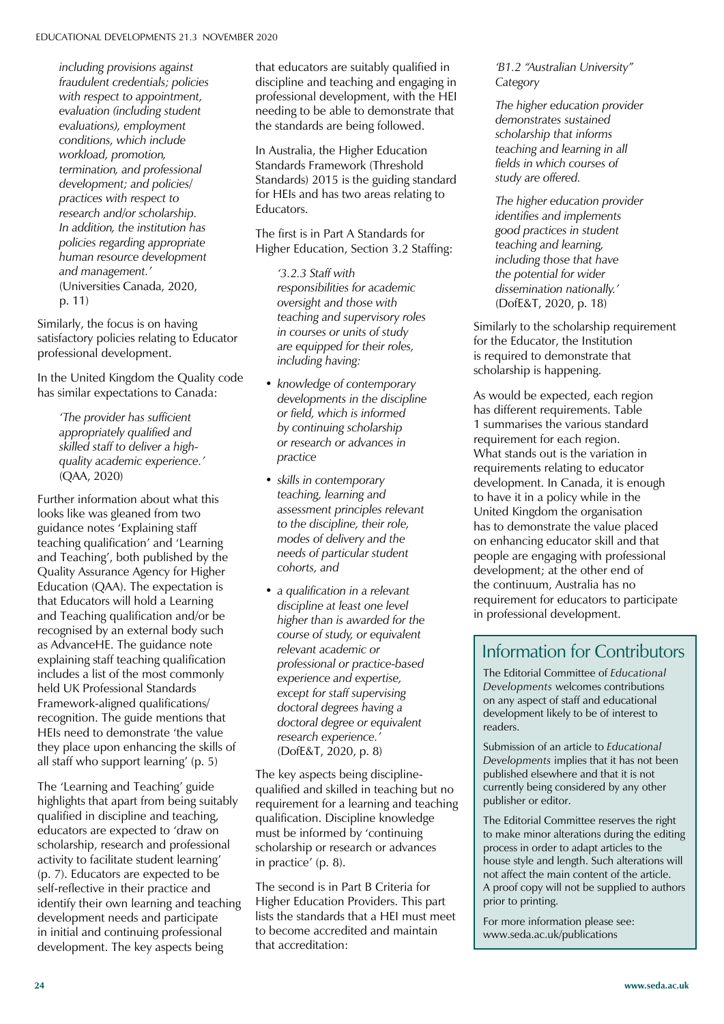*including provisions against fraudulent credentials; policies with respect to appointment, evaluation (including student evaluations), employment conditions, which include workload, promotion, termination, and professional development; and policies/ practices with respect to research and/or scholarship. In addition, the institution has policies regarding appropriate human resource development and management.'*  (Universities Canada, 2020, p. 11)

Similarly, the focus is on having satisfactory policies relating to Educator professional development.

In the United Kingdom the Quality code has similar expectations to Canada:

*'The provider has sufficient appropriately qualified and skilled staff to deliver a highquality academic experience.'*  (QAA, 2020)

Further information about what this looks like was gleaned from two guidance notes 'Explaining staff teaching qualification' and 'Learning and Teaching', both published by the Quality Assurance Agency for Higher Education (QAA). The expectation is that Educators will hold a Learning and Teaching qualification and/or be recognised by an external body such as AdvanceHE. The guidance note explaining staff teaching qualification includes a list of the most commonly held UK Professional Standards Framework-aligned qualifications/ recognition. The guide mentions that HEIs need to demonstrate 'the value they place upon enhancing the skills of all staff who support learning' (p. 5)

The 'Learning and Teaching' guide highlights that apart from being suitably qualified in discipline and teaching, educators are expected to 'draw on scholarship, research and professional activity to facilitate student learning' (p. 7). Educators are expected to be self-reflective in their practice and identify their own learning and teaching development needs and participate in initial and continuing professional development. The key aspects being

that educators are suitably qualified in discipline and teaching and engaging in professional development, with the HEI needing to be able to demonstrate that the standards are being followed.

In Australia, the Higher Education Standards Framework (Threshold Standards) 2015 is the guiding standard for HEIs and has two areas relating to Educators.

The first is in Part A Standards for Higher Education, Section 3.2 Staffing:

*'3.2.3 Staff with responsibilities for academic oversight and those with teaching and supervisory roles in courses or units of study are equipped for their roles, including having:*

- *knowledge of contemporary developments in the discipline or field, which is informed by continuing scholarship or research or advances in practice*
- *skills in contemporary teaching, learning and assessment principles relevant to the discipline, their role, modes of delivery and the needs of particular student cohorts, and*
- *a qualification in a relevant discipline at least one level higher than is awarded for the course of study, or equivalent relevant academic or professional or practice-based experience and expertise, except for staff supervising doctoral degrees having a doctoral degree or equivalent research experience.'*  (DofE&T, 2020, p. 8)

The key aspects being disciplinequalified and skilled in teaching but no requirement for a learning and teaching qualification. Discipline knowledge must be informed by 'continuing scholarship or research or advances in practice' (p.  $8$ ).

The second is in Part B Criteria for Higher Education Providers. This part lists the standards that a HEI must meet to become accredited and maintain that accreditation:

*'B1.2 "Australian University" Category*

*The higher education provider demonstrates sustained scholarship that informs teaching and learning in all fields in which courses of study are offered.*

*The higher education provider identifies and implements good practices in student teaching and learning, including those that have the potential for wider dissemination nationally.'*  (DofE&T, 2020, p. 18)

Similarly to the scholarship requirement for the Educator, the Institution is required to demonstrate that scholarship is happening.

As would be expected, each region has different requirements. Table 1 summarises the various standard requirement for each region. What stands out is the variation in requirements relating to educator development. In Canada, it is enough to have it in a policy while in the United Kingdom the organisation has to demonstrate the value placed on enhancing educator skill and that people are engaging with professional development; at the other end of the continuum, Australia has no requirement for educators to participate in professional development.

#### Information for Contributors

The Editorial Committee of *Educational Developments* welcomes contributions on any aspect of staff and educational development likely to be of interest to readers.

Submission of an article to *Educational Developments* implies that it has not been published elsewhere and that it is not currently being considered by any other publisher or editor.

The Editorial Committee reserves the right to make minor alterations during the editing process in order to adapt articles to the house style and length. Such alterations will not affect the main content of the article. A proof copy will not be supplied to authors prior to printing.

For more information please see: www.seda.ac.uk/publications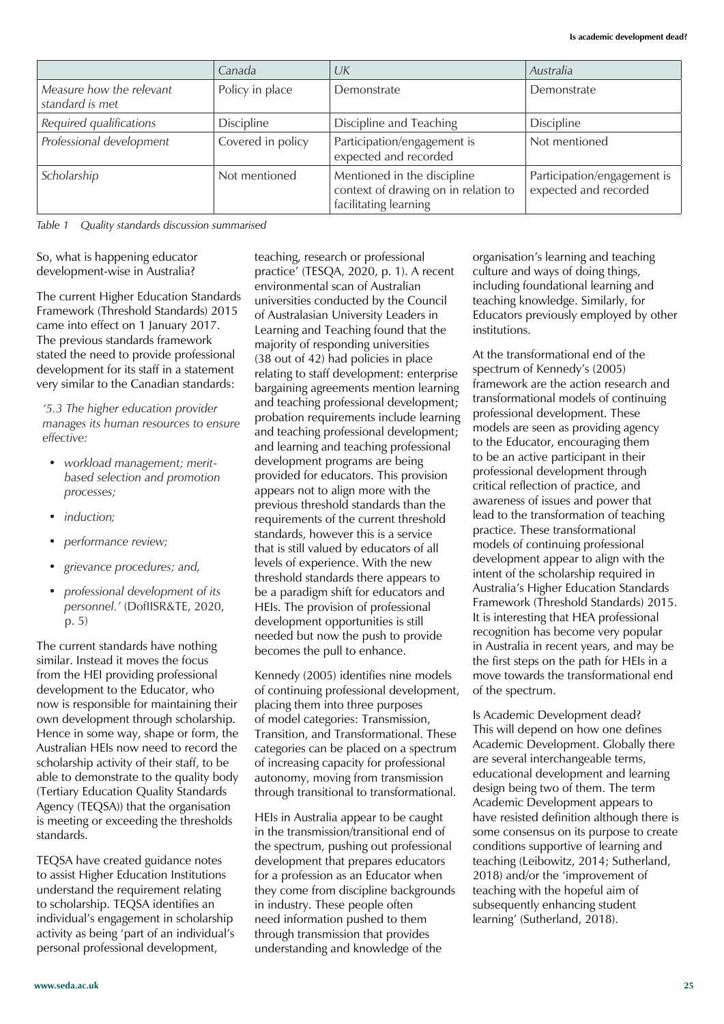|                                             | Canada            | UK                                                                                           | Australia                                            |
|---------------------------------------------|-------------------|----------------------------------------------------------------------------------------------|------------------------------------------------------|
| Measure how the relevant<br>standard is met | Policy in place   | Demonstrate                                                                                  | Demonstrate                                          |
| Required qualifications                     | <b>Discipline</b> | Discipline and Teaching                                                                      | Discipline                                           |
| Professional development                    | Covered in policy | Participation/engagement is<br>expected and recorded                                         | Not mentioned                                        |
| Scholarship                                 | Not mentioned     | Mentioned in the discipline<br>context of drawing on in relation to<br>facilitating learning | Participation/engagement is<br>expected and recorded |

*Table 1 Quality standards discussion summarised*

So, what is happening educator development-wise in Australia?

The current Higher Education Standards Framework (Threshold Standards) 2015 came into effect on 1 January 2017. The previous standards framework stated the need to provide professional development for its staff in a statement very similar to the Canadian standards:

*'5.3 The higher education provider manages its human resources to ensure effective:*

- *workload management; meritbased selection and promotion processes;*
- *induction;*
- *performance review;*
- *grievance procedures; and,*
- *professional development of its personnel.'* (DofIISR&TE, 2020, p. 5)

The current standards have nothing similar. Instead it moves the focus from the HEI providing professional development to the Educator, who now is responsible for maintaining their own development through scholarship. Hence in some way, shape or form, the Australian HEIs now need to record the scholarship activity of their staff, to be able to demonstrate to the quality body (Tertiary Education Quality Standards Agency (TEQSA)) that the organisation is meeting or exceeding the thresholds standards.

TEQSA have created guidance notes to assist Higher Education Institutions understand the requirement relating to scholarship. TEQSA identifies an individual's engagement in scholarship activity as being 'part of an individual's personal professional development,

teaching, research or professional practice' (TESQA, 2020, p. 1). A recent environmental scan of Australian universities conducted by the Council of Australasian University Leaders in Learning and Teaching found that the majority of responding universities (38 out of 42) had policies in place relating to staff development: enterprise bargaining agreements mention learning and teaching professional development; probation requirements include learning and teaching professional development; and learning and teaching professional development programs are being provided for educators. This provision appears not to align more with the previous threshold standards than the requirements of the current threshold standards, however this is a service that is still valued by educators of all levels of experience. With the new threshold standards there appears to be a paradigm shift for educators and HEIs. The provision of professional development opportunities is still needed but now the push to provide becomes the pull to enhance.

Kennedy (2005) identifies nine models of continuing professional development, placing them into three purposes of model categories: Transmission, Transition, and Transformational. These categories can be placed on a spectrum of increasing capacity for professional autonomy, moving from transmission through transitional to transformational.

HEIs in Australia appear to be caught in the transmission/transitional end of the spectrum, pushing out professional development that prepares educators for a profession as an Educator when they come from discipline backgrounds in industry. These people often need information pushed to them through transmission that provides understanding and knowledge of the

organisation's learning and teaching culture and ways of doing things, including foundational learning and teaching knowledge. Similarly, for Educators previously employed by other institutions.

At the transformational end of the spectrum of Kennedy's (2005). framework are the action research and transformational models of continuing professional development. These models are seen as providing agency to the Educator, encouraging them to be an active participant in their professional development through critical reflection of practice, and awareness of issues and power that lead to the transformation of teaching practice. These transformational models of continuing professional development appear to align with the intent of the scholarship required in Australia's Higher Education Standards Framework (Threshold Standards) 2015. It is interesting that HEA professional recognition has become very popular in Australia in recent years, and may be the first steps on the path for HEIs in a move towards the transformational end of the spectrum.

Is Academic Development dead? This will depend on how one defines Academic Development. Globally there are several interchangeable terms, educational development and learning design being two of them. The term Academic Development appears to have resisted definition although there is some consensus on its purpose to create conditions supportive of learning and teaching (Leibowitz, 2014; Sutherland, 2018) and/or the 'improvement of teaching with the hopeful aim of subsequently enhancing student learning' (Sutherland, 2018).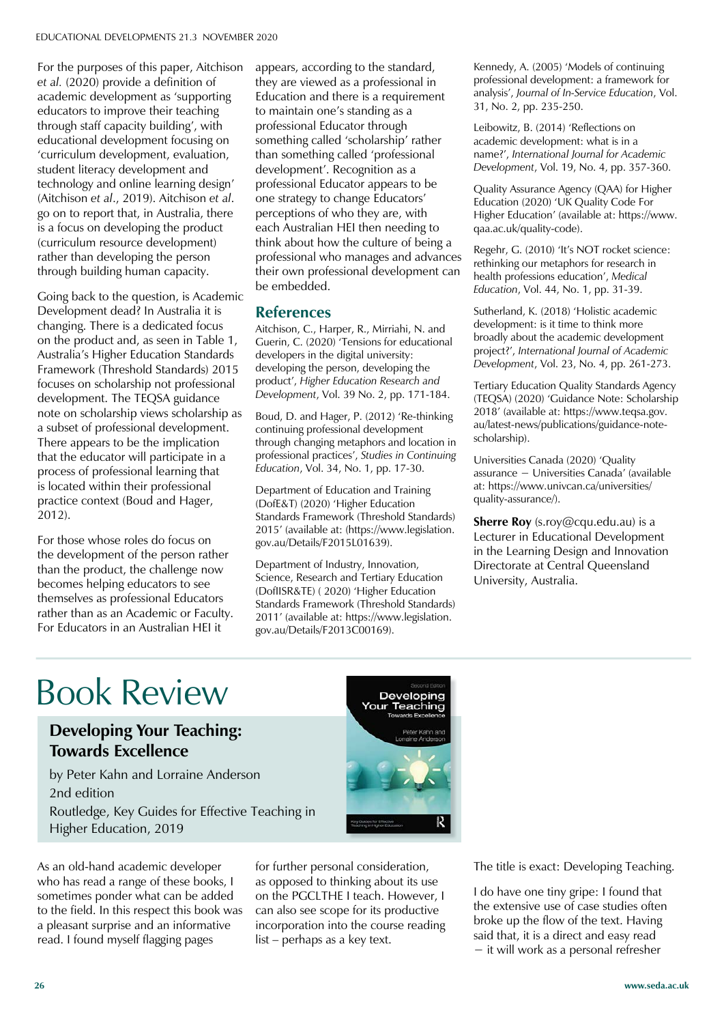For the purposes of this paper, Aitchison *et al.* (2020) provide a definition of academic development as 'supporting educators to improve their teaching through staff capacity building', with educational development focusing on 'curriculum development, evaluation, student literacy development and technology and online learning design' (Aitchison *et al*., 2019). Aitchison *et al*. go on to report that, in Australia, there is a focus on developing the product (curriculum resource development) rather than developing the person through building human capacity.

Going back to the question, is Academic Development dead? In Australia it is changing. There is a dedicated focus on the product and, as seen in Table 1, Australia's Higher Education Standards Framework (Threshold Standards) 2015 focuses on scholarship not professional development. The TEQSA guidance note on scholarship views scholarship as a subset of professional development. There appears to be the implication that the educator will participate in a process of professional learning that is located within their professional practice context (Boud and Hager, 2012).

For those whose roles do focus on the development of the person rather than the product, the challenge now becomes helping educators to see themselves as professional Educators rather than as an Academic or Faculty. For Educators in an Australian HEI it

appears, according to the standard, they are viewed as a professional in Education and there is a requirement to maintain one's standing as a professional Educator through something called 'scholarship' rather than something called 'professional development'. Recognition as a professional Educator appears to be one strategy to change Educators' perceptions of who they are, with each Australian HEI then needing to think about how the culture of being a professional who manages and advances their own professional development can be embedded.

#### **References**

Aitchison, C., Harper, R., Mirriahi, N. and Guerin, C. (2020) 'Tensions for educational developers in the digital university: developing the person, developing the product', Higher Education Research and *Development*, Vol. 39 No. 2, pp. 171-184.

Boud, D. and Hager, P. (2012) 'Re-thinking continuing professional development through changing metaphors and location in professional practices', Studies in Continuing *Education*, Vol. 34, No. 1, pp. 17-30.

Department of Education and Training (DofE&T) (2020) 'Higher Education Standards Framework (Threshold Standards) 2015' (available at: (https://www.legislation. gov.au/Details/F2015L01639).

Department of Industry, Innovation, Science, Research and Tertiary Education (DoflISR&TE) (2020) 'Higher Education Standards Framework (Threshold Standards) 2011' (available at: https://www.legislation. gov.au/Details/F2013C00169).

Kennedy, A. (2005) 'Models of continuing professional development: a framework for analysis', Journal of In-Service Education, Vol. 31, No. 2, pp. 235-250.

Leibowitz, B. (2014) 'Reflections on academic development: what is in a name?', International Journal for Academic *Development*, Vol. 19, No. 4, pp. 357-360.

Quality Assurance Agency (QAA) for Higher Education (2020) 'UK Quality Code For Higher Education' (available at: https://www. qaa.ac.uk/quality-code).

Regehr, G. (2010) 'It's NOT rocket science: rethinking our metaphors for research in health professions education'. Medical *Education*, Vol. 44, No. 1, pp. 31-39.

Sutherland, K. (2018) 'Holistic academic development: is it time to think more broadly about the academic development project?', International Journal of Academic *Development*, Vol. 23, No. 4, pp. 261-273.

Tertiary Education Quality Standards Agency (TEQSA) (2020) 'Guidance Note: Scholarship 2018' (available at: https://www.teqsa.gov. au/latest-news/publications/guidance-notescholarship).

Universities Canada (2020) 'Quality  $assurance - Universities Canada' (available)$ at: https://www.univcan.ca/universities/ quality-assurance/).

**Sherre Roy** (s.roy@cqu.edu.au) is a Lecturer in Educational Development in the Learning Design and Innovation Directorate at Central Queensland University, Australia.

### Book Review

#### **Developing Your Teaching: Towards Excellence**

by Peter Kahn and Lorraine Anderson 2nd edition Routledge, Key Guides for Effective Teaching in Higher Education, 2019

As an old-hand academic developer who has read a range of these books, I sometimes ponder what can be added to the field. In this respect this book was a pleasant surprise and an informative read. I found myself flagging pages



for further personal consideration, as opposed to thinking about its use on the PGCLTHE I teach. However, I can also see scope for its productive incorporation into the course reading  $list - perhaps$  as a key text.

The title is exact: Developing Teaching.

I do have one tiny gripe: I found that the extensive use of case studies often broke up the flow of the text. Having said that, it is a direct and easy read  $-$  it will work as a personal refresher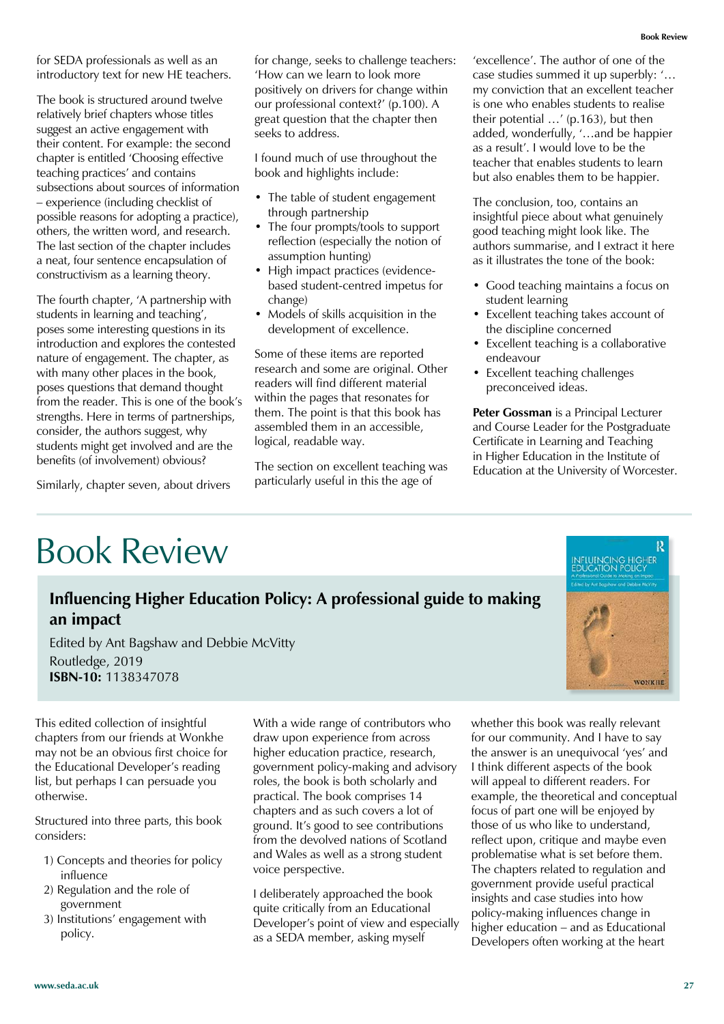for SEDA professionals as well as an introductory text for new HE teachers.

The book is structured around twelve relatively brief chapters whose titles suggest an active engagement with their content. For example: the second chapter is entitled 'Choosing effective teaching practices' and contains subsections about sources of information  $-$  experience (including checklist of possible reasons for adopting a practice), others, the written word, and research. The last section of the chapter includes a neat, four sentence encapsulation of constructivism as a learning theory.

The fourth chapter, 'A partnership with students in learning and teaching'. poses some interesting questions in its introduction and explores the contested nature of engagement. The chapter, as with many other places in the book, poses questions that demand thought from the reader. This is one of the book's strengths. Here in terms of partnerships, consider, the authors suggest, why students might get involved and are the benefits (of involvement) obvious?

Similarly, chapter seven, about drivers

### Book Review

### **Influencing Higher Education Policy: A professional guide to making an impact** Edited by Ant Bagshaw and Debbie McVitty

logical, readable way.

Routledge, 2019 **ISBN-10:** 1138347078

This edited collection of insightful chapters from our friends at Wonkhe may not be an obvious first choice for the Educational Developer's reading list, but perhaps I can persuade you otherwise.

Structured into three parts, this book considers:

- 1) Concepts and theories for policy influence
- 2) Regulation and the role of government
- 3) Institutions' engagement with policy.

With a wide range of contributors who draw upon experience from across higher education practice, research, government policy-making and advisory roles, the book is both scholarly and practical. The book comprises 14 chapters and as such covers a lot of ground. It's good to see contributions from the devolved nations of Scotland and Wales as well as a strong student voice perspective.

for change, seeks to challenge teachers: 'How can we learn to look more positively on drivers for change within our professional context?' (p.100). A great question that the chapter then

I found much of use throughout the

• The table of student engagement

• The four prompts/tools to support reflection (especially the notion of

• High impact practices (evidencebased student-centred impetus for

• Models of skills acquisition in the development of excellence.

Some of these items are reported research and some are original. Other readers will find different material within the pages that resonates for them. The point is that this book has assembled them in an accessible,

The section on excellent teaching was particularly useful in this the age of

book and highlights include:

through partnership

assumption hunting)

change)

seeks to address.

I deliberately approached the book quite critically from an Educational Developer's point of view and especially as a SEDA member, asking myself

whether this book was really relevant for our community. And I have to say the answer is an unequivocal 'yes' and I think different aspects of the book will appeal to different readers. For example, the theoretical and conceptual focus of part one will be enjoyed by those of us who like to understand, reflect upon, critique and maybe even problematise what is set before them. The chapters related to regulation and government provide useful practical insights and case studies into how policy-making influences change in higher education – and as Educational Developers often working at the heart

'excellence'. The author of one of the case studies summed it up superbly: '... my conviction that an excellent teacher is one who enables students to realise their potential  $\ldots$  (p.163), but then added, wonderfully, '...and be happier as a result'. I would love to be the teacher that enables students to learn but also enables them to be happier.

The conclusion, too, contains an insightful piece about what genuinely good teaching might look like. The authors summarise, and I extract it here as it illustrates the tone of the book:

- Good teaching maintains a focus on student learning
- Excellent teaching takes account of the discipline concerned
- Excellent teaching is a collaborative endeavour
- Excellent teaching challenges preconceived ideas.

**Peter Gossman** is a Principal Lecturer and Course Leader for the Postgraduate Certificate in Learning and Teaching in Higher Education in the Institute of Education at the University of Worcester.